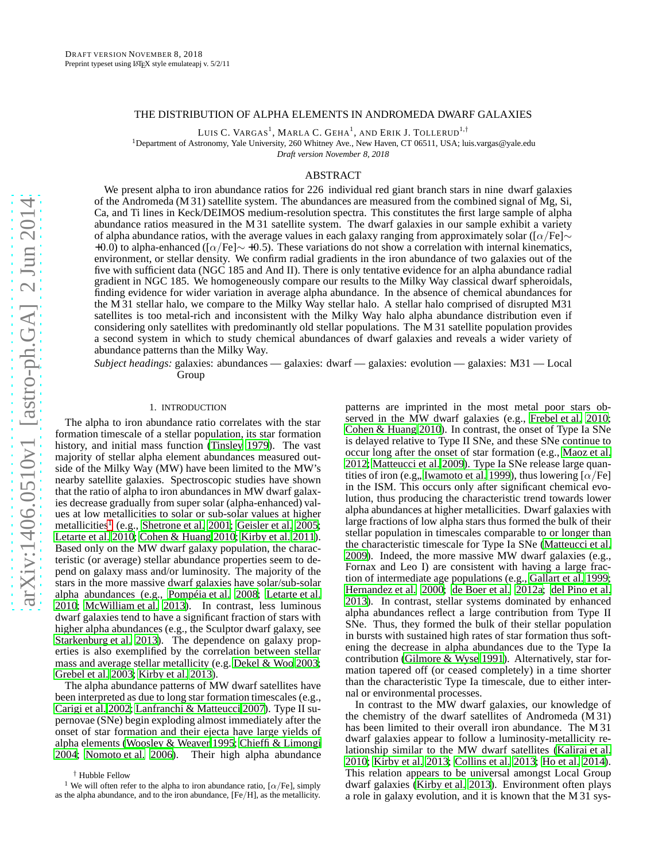### THE DISTRIBUTION OF ALPHA ELEMENTS IN ANDROMEDA DWARF GALAXIES

Luis C. Vargas<sup>1</sup>, Marla C. Geha<sup>1</sup>, and Erik J. Tollerud<sup>1,†</sup>

<sup>1</sup>Department of Astronomy, Yale University, 260 Whitney Ave., New Haven, CT 06511, USA; luis.vargas@yale.edu *Draft version November 8, 2018*

ABSTRACT

We present alpha to iron abundance ratios for 226 individual red giant branch stars in nine dwarf galaxies of the Andromeda (M 31) satellite system. The abundances are measured from the combined signal of Mg, Si, Ca, and Ti lines in Keck/DEIMOS medium-resolution spectra. This constitutes the first large sample of alpha abundance ratios measured in the M 31 satellite system. The dwarf galaxies in our sample exhibit a variety of alpha abundance ratios, with the average values in each galaxy ranging from approximately solar ([ $\alpha$ /Fe]∼ +0.0) to alpha-enhanced ( $[\alpha/Fe] \sim +0.5$ ). These variations do not show a correlation with internal kinematics, environment, or stellar density. We confirm radial gradients in the iron abundance of two galaxies out of the five with sufficient data (NGC 185 and And II). There is only tentative evidence for an alpha abundance radial gradient in NGC 185. We homogeneously compare our results to the Milky Way classical dwarf spheroidals, finding evidence for wider variation in average alpha abundance. In the absence of chemical abundances for the M 31 stellar halo, we compare to the Milky Way stellar halo. A stellar halo comprised of disrupted M31 satellites is too metal-rich and inconsistent with the Milky Way halo alpha abundance distribution even if considering only satellites with predominantly old stellar populations. The M 31 satellite population provides a second system in which to study chemical abundances of dwarf galaxies and reveals a wider variety of abundance patterns than the Milky Way.

*Subject headings:* galaxies: abundances — galaxies: dwarf — galaxies: evolution — galaxies: M31 — Local Group

## 1. INTRODUCTION

The alpha to iron abundance ratio correlates with the star formation timescale of a stellar population, its star formation history, and initial mass function [\(Tinsley 1979](#page-14-0)). The vast majority of stellar alpha element abundances measured outside of the Milky Way (MW) have been limited to the MW's nearby satellite galaxies. Spectroscopic studies have shown that the ratio of alpha to iron abundances in MW dwarf galaxies decrease gradually from super solar (alpha-enhanced) values at low metallicities to solar or sub-solar values at higher metallicities<sup>[1](#page-0-0)</sup> (e.g., [Shetrone et al. 2001;](#page-14-1) [Geisler et al. 2005;](#page-14-2) [Letarte et al. 2010](#page-14-3); [Cohen & Huang 2010;](#page-14-4) [Kirby et al. 2011\)](#page-14-5). Based only on the MW dwarf galaxy population, the characteristic (or average) stellar abundance properties seem to depend on galaxy mass and/or luminosity. The majority of the stars in the more massive dwarf galaxies have solar/sub-solar alpha abundances (e.g., [Pompéia et al. 2008;](#page-14-6) [Letarte et al.](#page-14-3) [2010;](#page-14-3) [McWilliam et al. 2013\)](#page-14-7). In contrast, less luminous dwarf galaxies tend to have a significant fraction of stars with higher alpha abundances (e.g., the Sculptor dwarf galaxy, see [Starkenburg et al. 2013\)](#page-14-8). The dependence on galaxy properties is also exemplified by the correlation between stellar mass and average stellar metallicity (e.g. [Dekel & Woo 2003;](#page-14-9) [Grebel et al. 2003](#page-14-10); [Kirby et al. 2013\)](#page-14-11).

The alpha abundance patterns of MW dwarf satellites have been interpreted as due to long star formation timescales (e.g., [Carigi et al. 2002;](#page-14-12) [Lanfranchi & Matteucci 2007](#page-14-13)). Type II supernovae (SNe) begin exploding almost immediately after the onset of star formation and their ejecta have large yields of alpha elements [\(Woosley & Weaver 1995;](#page-15-0) [Chieffi & Limongi](#page-14-14) [2004;](#page-14-14) [Nomoto et al. 2006\)](#page-14-15). Their high alpha abundance

† Hubble Fellow

patterns are imprinted in the most metal poor stars observed in the MW dwarf galaxies (e.g., [Frebel et al. 2010](#page-14-16); [Cohen & Huang 2010\)](#page-14-4). In contrast, the onset of Type Ia SNe is delayed relative to Type II SNe, and these SNe continue to occur long after the onset of star formation (e.g., [Maoz et al.](#page-14-17) [2012;](#page-14-17) [Matteucci et al. 2009\)](#page-14-18). Type Ia SNe release large quan-tities of iron (e.g., [Iwamoto et al. 1999\)](#page-14-19), thus lowering [ $\alpha$ /Fe] in the ISM. This occurs only after significant chemical evolution, thus producing the characteristic trend towards lower alpha abundances at higher metallicities. Dwarf galaxies with large fractions of low alpha stars thus formed the bulk of their stellar population in timescales comparable to or longer than the characteristic timescale for Type Ia SNe [\(Matteucci et al.](#page-14-18) [2009\)](#page-14-18). Indeed, the more massive MW dwarf galaxies (e.g., Fornax and Leo I) are consistent with having a large fraction of intermediate age populations (e.g., [Gallart et al. 1999](#page-14-20); [Hernandez et al. 2000;](#page-14-21) [de Boer et al. 2012a;](#page-14-22) [del Pino et al.](#page-14-23) [2013\)](#page-14-23). In contrast, stellar systems dominated by enhanced alpha abundances reflect a large contribution from Type II SNe. Thus, they formed the bulk of their stellar population in bursts with sustained high rates of star formation thus softening the decrease in alpha abundances due to the Type Ia contribution [\(Gilmore & Wyse 1991\)](#page-14-24). Alternatively, star formation tapered off (or ceased completely) in a time shorter than the characteristic Type Ia timescale, due to either internal or environmental processes.

In contrast to the MW dwarf galaxies, our knowledge of the chemistry of the dwarf satellites of Andromeda (M 31) has been limited to their overall iron abundance. The M 31 dwarf galaxies appear to follow a luminosity-metallicity relationship similar to the MW dwarf satellites [\(Kalirai et al.](#page-14-25) [2010;](#page-14-25) [Kirby et al. 2013](#page-14-11); [Collins et al. 2013;](#page-14-26) [Ho et al. 2014](#page-14-27)). This relation appears to be universal amongst Local Group dwarf galaxies [\(Kirby et al. 2013\)](#page-14-11). Environment often plays a role in galaxy evolution, and it is known that the M 31 sys-

<span id="page-0-0"></span><sup>&</sup>lt;sup>1</sup> We will often refer to the alpha to iron abundance ratio,  $\lceil \alpha/\text{Fe} \rceil$ , simply as the alpha abundance, and to the iron abundance, [Fe/H], as the metallicity.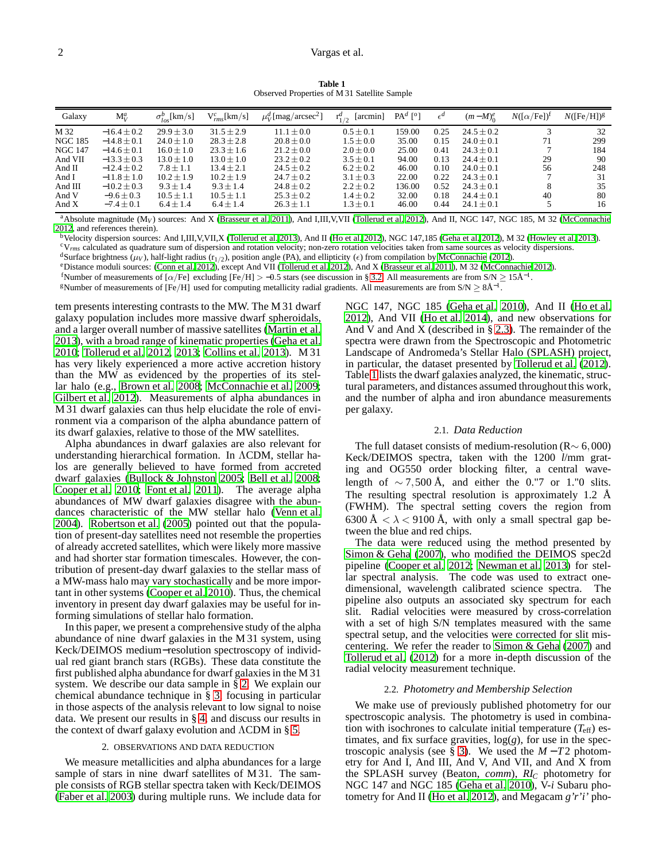**Table 1** Observed Properties of M 31 Satellite Sample

<span id="page-1-1"></span>

| Galaxy                                                                                                  | $M_V^a$                                                                                                                                                             | $\sigma_{los}^{p}$ [km/s]                                                                                                                               | $V_{rms}^{c}[km/s]$                                                                                                                                  | $\mu_V^d$ [mag/arcsec <sup>2</sup> ]                                                                                                                       | [arcmin]<br>$\Gamma_{1/2}^{\mu}$                                                                                                                      | $PAd$ [ <sup>o</sup> ]                                                          | $\epsilon^d$                                                         | $(m-M)_0^e$                                                                                                                                          | $N([\alpha/Fe])^{\dagger}$ | $N({\rm [Fe/H]})^g$                                   |
|---------------------------------------------------------------------------------------------------------|---------------------------------------------------------------------------------------------------------------------------------------------------------------------|---------------------------------------------------------------------------------------------------------------------------------------------------------|------------------------------------------------------------------------------------------------------------------------------------------------------|------------------------------------------------------------------------------------------------------------------------------------------------------------|-------------------------------------------------------------------------------------------------------------------------------------------------------|---------------------------------------------------------------------------------|----------------------------------------------------------------------|------------------------------------------------------------------------------------------------------------------------------------------------------|----------------------------|-------------------------------------------------------|
| M 32<br><b>NGC 185</b><br><b>NGC 147</b><br>And VII<br>And $II$<br>And I<br>And III<br>And V<br>And $X$ | $-16.4 \pm 0.2$<br>$-14.8 \pm 0.1$<br>$-14.6 \pm 0.1$<br>$-13.3 \pm 0.3$<br>$-12.4 \pm 0.2$<br>$-11.8 + 1.0$<br>$-10.2 \pm 0.3$<br>$-9.6 \pm 0.3$<br>$-7.4 \pm 0.1$ | $29.9 + 3.0$<br>$24.0 \pm 1.0$<br>$16.0 \pm 1.0$<br>$13.0 \pm 1.0$<br>$7.8 \pm 1.1$<br>$10.2 + 1.9$<br>$9.3 \pm 1.4$<br>$10.5 \pm 1.1$<br>$6.4 \pm 1.4$ | $31.5 + 2.9$<br>$28.3 \pm 2.8$<br>$23.3 \pm 1.6$<br>$13.0 \pm 1.0$<br>$13.4 + 2.1$<br>$10.2 + 1.9$<br>$9.3 + 1.4$<br>$10.5 \pm 1.1$<br>$6.4 \pm 1.4$ | $11.1 + 0.0$<br>$20.8 \pm 0.0$<br>$21.2 + 0.0$<br>$23.2 \pm 0.2$<br>$24.5 \pm 0.2$<br>$24.7 \pm 0.2$<br>$24.8 \pm 0.2$<br>$25.3 \pm 0.2$<br>$26.3 \pm 1.1$ | $0.5 \pm 0.1$<br>$1.5 \pm 0.0$<br>$2.0 \pm 0.0$<br>$3.5 \pm 0.1$<br>$6.2 \pm 0.2$<br>$3.1 \pm 0.3$<br>$2.2 \pm 0.2$<br>$1.4 \pm 0.2$<br>$1.3 \pm 0.1$ | 159.00<br>35.00<br>25.00<br>94.00<br>46.00<br>22.00<br>136.00<br>32.00<br>46.00 | 0.25<br>0.15<br>0.41<br>0.13<br>0.10<br>0.22<br>0.52<br>0.18<br>0.44 | $24.5 \pm 0.2$<br>$24.0 \pm 0.1$<br>$24.3 + 0.1$<br>$24.4 \pm 0.1$<br>$24.0 + 0.1$<br>$24.3 + 0.1$<br>$24.3 + 0.1$<br>$24.4 + 0.1$<br>$24.1 \pm 0.1$ | 71<br>29<br>56<br>40       | 32<br>299<br>184<br>90<br>248<br>31<br>35<br>80<br>16 |

<sup>a</sup> Absolute magnitude (M<sub>V</sub>) sources: And X [\(Brasseur et al. 2011](#page-14-28)), And I,III, V,VII [\(Tollerud et al. 2012\)](#page-14-29), And II, NGC 147, NGC 185, M 32 [\(McConnachie](#page-14-30) [2012,](#page-14-30) and references therein).

<sup>b</sup>Velocity dispersion sources: And I,III,V,VII,X [\(Tollerud](#page-14-31) et al. [2013](#page-14-31)), And II [\(Ho et al. 2012\)](#page-14-32), NGC 147,185 [\(Geha et al. 2012\)](#page-14-33), M 32 [\(Howley et al. 2013\)](#page-14-34).

<sup>c</sup>V*rms* calculated as quadrature sum of dispersion and rotation velocity; non-zero rotation velocities taken from same sources as velocity dispersions.

<sup>d</sup>Surface brightness ( $\mu_V$ ), half-light radius ( $r_{1/2}$ ), position angle (PA), and ellipticity ( $\epsilon$ ) from compilation by [McConnachie](#page-14-30) [\(2012](#page-14-30)).

<sup>e</sup>Distance moduli sources: [\(Conn et al. 2012](#page-14-35)), except And VII [\(Tollerud et al. 2012](#page-14-29)), And X [\(Brasseur et al. 2011](#page-14-28)), M 32 [\(McConnachie 2012](#page-14-30)).

fNumber of measurements of [ $\alpha$ /Fe] excluding [Fe/H] > -0.5 stars (see discussion in § [3.2.](#page-3-0) All measurements are from S/N ≥ 15Å<sup>-1</sup>.

<sup>g</sup>Number of measurements of [Fe/H] used for computing metallicity radial gradients. All measurements are from S/N ≥ 8Å<sup>-1</sup>.

tem presents interesting contrasts to the MW. The M 31 dwarf galaxy population includes more massive dwarf spheroidals, and a larger overall number of massive satellites [\(Martin et](#page-14-36) al. [2013\)](#page-14-36), with a broad range of kinematic properties [\(Geha et al.](#page-14-37) [2010;](#page-14-37) [Tollerud et al. 2012,](#page-14-29) [2013;](#page-14-31) [Collins et al. 2013\)](#page-14-26). M 31 has very likely experienced a more active accretion history than the MW as evidenced by the properties of its stellar halo (e.g., [Brown et al. 2008;](#page-14-38) [McConnachie et al. 2009;](#page-14-39) [Gilbert et al. 2012\)](#page-14-40). Measurements of alpha abundances in M 31 dwarf galaxies can thus help elucidate the role of environment via a comparison of the alpha abundance pattern of its dwarf galaxies, relative to those of the MW satellites.

Alpha abundances in dwarf galaxies are also relevant for understanding hierarchical formation. In ΛCDM, stellar halos are generally believed to have formed from accreted dwarf galaxies [\(Bullock & Johnston 2005;](#page-14-41) [Bell et al. 2008;](#page-14-42) [Cooper et al. 2010](#page-14-43); [Font et al. 2011](#page-14-44)). The average alpha abundances of MW dwarf galaxies disagree with the abundances characteristic of the MW stellar halo [\(Venn et al.](#page-15-1) [2004\)](#page-15-1). [Robertson et al. \(2005](#page-14-45)) pointed out that the population of present-day satellites need not resemble the properties of already accreted satellites, which were likely more massive and had shorter star formation timescales. However, the contribution of present-day dwarf galaxies to the stellar mass of a MW-mass halo may vary stochastically and be more important in other systems [\(Cooper et al. 2010](#page-14-43)). Thus, the chemical inventory in present day dwarf galaxies may be useful for informing simulations of stellar halo formation.

In this paper, we present a comprehensive study of the alpha abundance of nine dwarf galaxies in the M 31 system, using Keck/DEIMOS medium−resolution spectroscopy of individual red giant branch stars (RGBs). These data constitute the first published alpha abundance for dwarf galaxies in the M 31 system. We describe our data sample in § [2.](#page-1-0) We explain our chemical abundance technique in § [3,](#page-2-0) focusing in particular in those aspects of the analysis relevant to low signal to noise data. We present our results in § [4,](#page-4-0) and discuss our results in the context of dwarf galaxy evolution and ΛCDM in § [5.](#page-10-0)

## 2. OBSERVATIONS AND DATA REDUCTION

<span id="page-1-0"></span>We measure metallicities and alpha abundances for a large sample of stars in nine dwarf satellites of M 31. The sample consists of RGB stellar spectra taken with Keck/DEIMOS [\(Faber et al. 2003](#page-14-46)) during multiple runs. We include data for

NGC 147, NGC 185 [\(Geha et al. 2010](#page-14-37)), And II [\(Ho et al.](#page-14-32) [2012\)](#page-14-32), And VII [\(Ho et al. 2014\)](#page-14-27), and new observations for And V and And X (described in  $\S$  [2.3\)](#page-2-1). The remainder of the spectra were drawn from the Spectroscopic and Photometric Landscape of Andromeda's Stellar Halo (SPLASH) project, in particular, the dataset presented by [Tollerud et al. \(2012](#page-14-29)). Table [1](#page-1-1) lists the dwarf galaxies analyzed, the kinematic, structural parameters, and distances assumed throughout this work, and the number of alpha and iron abundance measurements per galaxy.

### 2.1. *Data Reduction*

The full dataset consists of medium-resolution ( $R \sim 6,000$ ) Keck/DEIMOS spectra, taken with the 1200 *l*/mm grating and OG550 order blocking filter, a central wavelength of  $\sim$  7,500 Å, and either the 0."7 or 1."0 slits. The resulting spectral resolution is approximately 1.2 Å (FWHM). The spectral setting covers the region from  $6300 \text{ Å} < \lambda < 9100 \text{ Å}$ , with only a small spectral gap between the blue and red chips.

The data were reduced using the method presented by [Simon & Geha](#page-14-47) [\(2007\)](#page-14-47), who modified the DEIMOS spec2d pipeline [\(Cooper et al. 2012;](#page-14-48) [Newman et al. 2013\)](#page-14-49) for stellar spectral analysis. The code was used to extract onedimensional, wavelength calibrated science spectra. The pipeline also outputs an associated sky spectrum for each slit. Radial velocities were measured by cross-correlation with a set of high S/N templates measured with the same spectral setup, and the velocities were corrected for slit miscentering. We refer the reader to [Simon & Geha \(2007](#page-14-47)) and [Tollerud et al. \(2012](#page-14-29)) for a more in-depth discussion of the radial velocity measurement technique.

#### 2.2. *Photometry and Membership Selection*

<span id="page-1-2"></span>We make use of previously published photometry for our spectroscopic analysis. The photometry is used in combination with isochrones to calculate initial temperature (*T*eff) estimates, and fix surface gravities, log(*g*), for use in the spec-troscopic analysis (see § [3\)](#page-2-0). We used the  $M - T2$  photometry for And I, And III, And V, And VII, and And X from the SPLASH survey (Beaton, *comm*), *RI<sup>C</sup>* photometry for NGC 147 and NGC 185 [\(Geha et al. 2010](#page-14-37)), V-*i* Subaru photometry for And II [\(Ho et al. 2012\)](#page-14-32), and Megacam *g'r'i'* pho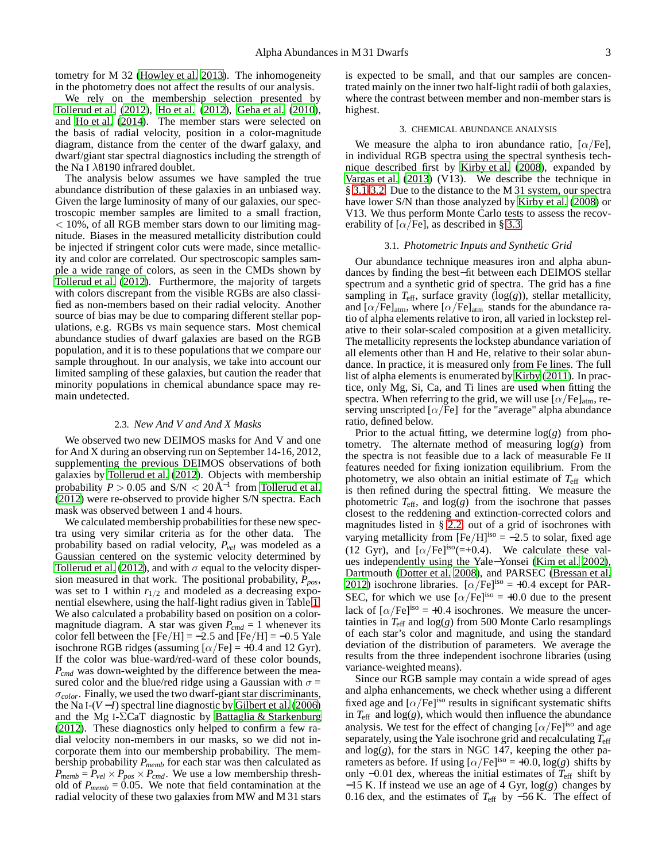tometry for M 32 [\(Howley et al. 2013](#page-14-34)). The inhomogeneity in the photometry does not affect the results of our analysis.

We rely on the membership selection presented by [Tollerud et al. \(2012](#page-14-29)), [Ho et al. \(2012\)](#page-14-32), [Geha et al. \(2010\)](#page-14-37), and [Ho et al. \(2014](#page-14-27)). The member stars were selected on the basis of radial velocity, position in a color-magnitude diagram, distance from the center of the dwarf galaxy, and dwarf/giant star spectral diagnostics including the strength of the Na I  $\lambda$ 8190 infrared doublet.

The analysis below assumes we have sampled the true abundance distribution of these galaxies in an unbiased way. Given the large luminosity of many of our galaxies, our spectroscopic member samples are limited to a small fraction,  $<$  10%, of all RGB member stars down to our limiting magnitude. Biases in the measured metallicity distribution could be injected if stringent color cuts were made, since metallicity and color are correlated. Our spectroscopic samples sample a wide range of colors, as seen in the CMDs shown by [Tollerud et al. \(2012\)](#page-14-29). Furthermore, the majority of targets with colors discrepant from the visible RGBs are also classified as non-members based on their radial velocity. Another source of bias may be due to comparing different stellar populations, e.g. RGBs vs main sequence stars. Most chemical abundance studies of dwarf galaxies are based on the RGB population, and it is to these populations that we compare our sample throughout. In our analysis, we take into account our limited sampling of these galaxies, but caution the reader that minority populations in chemical abundance space may remain undetected.

#### 2.3. *New And V and And X Masks*

<span id="page-2-1"></span>We observed two new DEIMOS masks for And V and one for And X during an observing run on September 14-16, 2012, supplementing the previous DEIMOS observations of both galaxies by [Tollerud et al. \(2012](#page-14-29)). Objects with membership probability  $P > 0.05$  and  $S/N < 20 \text{ Å}^{-1}$  from [Tollerud et al.](#page-14-29) [\(2012](#page-14-29)) were re-observed to provide higher S/N spectra. Each mask was observed between 1 and 4 hours.

We calculated membership probabilities for these new spectra using very similar criteria as for the other data. The probability based on radial velocity, *Pvel* was modeled as a Gaussian centered on the systemic velocity determined by [Tollerud et al.](#page-14-29) [\(2012\)](#page-14-29), and with  $\sigma$  equal to the velocity dispersion measured in that work. The positional probability, *Ppos*, was set to 1 within  $r_{1/2}$  and modeled as a decreasing exponential elsewhere, using the half-light radius given in Table [1.](#page-1-1) We also calculated a probability based on position on a colormagnitude diagram. A star was given  $P_{cmd} = 1$  whenever its color fell between the  $[Fe/H] = -2.5$  and  $[Fe/H] = -0.5$  Yale isochrone RGB ridges (assuming  $\lbrack \alpha/\text{Fe} \rbrack = +0.4$  and 12 Gyr). If the color was blue-ward/red-ward of these color bounds, *Pcmd* was down-weighted by the difference between the measured color and the blue/red ridge using a Gaussian with  $\sigma =$  $\sigma_{color}$ . Finally, we used the two dwarf-giant star discriminants, the Na I-(*V* −*I*) spectral line diagnostic by [Gilbert et al. \(2006\)](#page-14-50) and the Mg I- $\Sigma$ CaT diagnostic by [Battaglia & Starkenburg](#page-14-51) [\(2012](#page-14-51)). These diagnostics only helped to confirm a few radial velocity non-members in our masks, so we did not incorporate them into our membership probability. The membership probability *Pmemb* for each star was then calculated as  $P_{memb} = P_{vel} \times P_{pos} \times P_{cmd}$ . We use a low membership threshold of  $P_{memb} = 0.05$ . We note that field contamination at the radial velocity of these two galaxies from MW and M 31 stars

is expected to be small, and that our samples are concentrated mainly on the inner two half-light radii of both galaxies, where the contrast between member and non-member stars is highest.

## 3. CHEMICAL ABUNDANCE ANALYSIS

<span id="page-2-0"></span>We measure the alpha to iron abundance ratio,  $[\alpha/Fe]$ , in individual RGB spectra using the spectral synthesis technique described first by [Kirby et al. \(2008\)](#page-14-52), expanded by [Vargas et al. \(2013\)](#page-15-2) (V13). We describe the technique in § [3.1](#page-2-2)[-3.2.](#page-3-0) Due to the distance to the M 31 system, our spectra have lower S/N than those analyzed by [Kirby et al.](#page-14-52) [\(2008\)](#page-14-52) or V13. We thus perform Monte Carlo tests to assess the recoverability of  $\lceil \alpha/\text{Fe} \rceil$ , as described in § [3.3.](#page-4-1)

#### 3.1. *Photometric Inputs and Synthetic Grid*

<span id="page-2-2"></span>Our abundance technique measures iron and alpha abundances by finding the best−fit between each DEIMOS stellar spectrum and a synthetic grid of spectra. The grid has a fine sampling in  $T_{\text{eff}}$ , surface gravity ( $log(g)$ ), stellar metallicity, and  $\left[\alpha/\text{Fe}\right]_{\text{atm}}$ , where  $\left[\alpha/\text{Fe}\right]_{\text{atm}}$  stands for the abundance ratio of alpha elements relative to iron, all varied in lockstep relative to their solar-scaled composition at a given metallicity. The metallicity represents the lockstep abundance variation of all elements other than H and He, relative to their solar abundance. In practice, it is measured only from Fe lines. The full list of alpha elements is enumerated by [Kirby \(2011](#page-14-53)). In practice, only Mg, Si, Ca, and Ti lines are used when fitting the spectra. When referring to the grid, we will use  $\left[\alpha/\text{Fe}\right]_{\text{atm}}$ , reserving unscripted  $\lbrack \alpha/\text{Fe} \rbrack$  for the "average" alpha abundance ratio, defined below.

Prior to the actual fitting, we determine  $log(g)$  from photometry. The alternate method of measuring log(*g*) from the spectra is not feasible due to a lack of measurable Fe II features needed for fixing ionization equilibrium. From the photometry, we also obtain an initial estimate of *T*eff which is then refined during the spectral fitting. We measure the photometric  $T_{\text{eff}}$ , and  $\log(g)$  from the isochrone that passes closest to the reddening and extinction-corrected colors and magnitudes listed in § [2.2,](#page-1-2) out of a grid of isochrones with varying metallicity from  $[Fe/H]^{iso} = -2.5$  to solar, fixed age (12 Gyr), and  $\lceil \alpha/\text{Fe} \rceil^{\text{iso}} (=+0.4)$ . We calculate these values independently using the Yale−Yonsei [\(Kim et al. 2002](#page-14-54)), Dartmouth [\(Dotter et al. 2008\)](#page-14-55), and PARSEC [\(Bressan et al.](#page-14-56) [2012\)](#page-14-56) isochrone libraries.  $\left[\alpha/\text{Fe}\right]^{iso} = +0.4$  except for PAR-SEC, for which we use  $[\alpha/Fe]^{iso} = +0.0$  due to the present lack of  $[\alpha/Fe]^{iso} = +0.4$  isochrones. We measure the uncertainties in  $T_{\text{eff}}$  and  $\log(g)$  from 500 Monte Carlo resamplings of each star's color and magnitude, and using the standard deviation of the distribution of parameters. We average the results from the three independent isochrone libraries (using variance-weighted means).

Since our RGB sample may contain a wide spread of ages and alpha enhancements, we check whether using a different fixed age and  $\left[\alpha/Fe\right]^{iso}$  results in significant systematic shifts in  $T_{\text{eff}}$  and  $\log(g)$ , which would then influence the abundance analysis. We test for the effect of changing  $\left[\alpha/\text{Fe}\right]^{iso}$  and age separately, using the Yale isochrone grid and recalculating *T*eff and log(*g*), for the stars in NGC 147, keeping the other parameters as before. If using  $\lbrack \alpha/\text{Fe} \rbrack^{\text{iso}} = +0.0, \log(g)$  shifts by only  $-0.01$  dex, whereas the initial estimates of  $\overline{T}_{\text{eff}}$  shift by −15 K. If instead we use an age of 4 Gyr, log(*g*) changes by 0.16 dex, and the estimates of *T*eff by −56 K. The effect of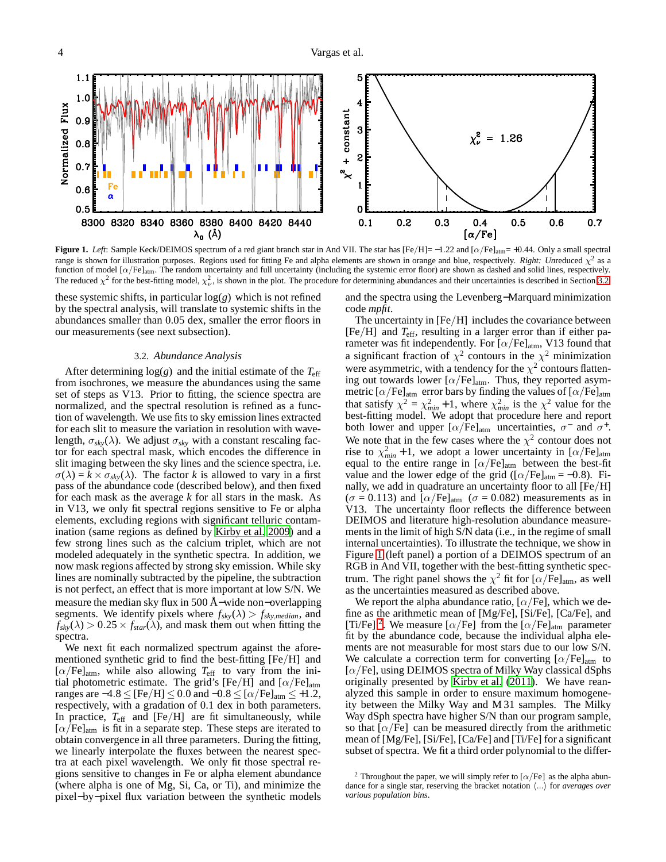5  $1.1$  $1.0$ 4 Normalized Flux + constant  $0.9$ 3  $= 1.26$  $0.8$  $\boldsymbol{z}$  $0.7$  $0.6$  $\alpha$  $0.5$ 0 8300 8320 8340 8360 8380 8400 8420 8440  $0.1$  $0.3$  $0.4$  $0.2$  $0.5$  $0.6$  $0.7$  $\lambda_0$  (Å)  $\lceil \alpha/\mathrm{Fe} \rceil$ 

<span id="page-3-1"></span>**Figure 1.** *Left*: Sample Keck/DEIMOS spectrum of a red giant branch star in And VII. The star has  $[Fe/H] = -1.22$  and  $[\alpha/Fe]_{atm} = +0.44$ . Only a small spectral range is shown for illustration purposes. Regions used for fitting Fe and alpha elements are shown in orange and blue, respectively. *Right: Unreduced*  $\chi^2$  as a function of model  $\left[\alpha/\text{Fe}\right]_{\text{atm}}$ . The random uncertainty and full uncertainty (including the systemic error floor) are shown as dashed and solid lines, respectively. The reduced  $\chi^2$  for the best-fitting model,  $\chi^2_{\nu}$ , is shown in the plot. The procedure for determining abundances and their uncertainties is described in Section [3.2.](#page-3-0)

these systemic shifts, in particular log(*g*) which is not refined by the spectral analysis, will translate to systemic shifts in the abundances smaller than 0.05 dex, smaller the error floors in our measurements (see next subsection).

#### 3.2. *Abundance Analysis*

<span id="page-3-0"></span>After determining  $log(g)$  and the initial estimate of the  $T_{\text{eff}}$ from isochrones, we measure the abundances using the same set of steps as V13. Prior to fitting, the science spectra are normalized, and the spectral resolution is refined as a function of wavelength. We use fits to sky emission lines extracted for each slit to measure the variation in resolution with wavelength,  $\sigma_{sky}(\lambda)$ . We adjust  $\sigma_{sky}$  with a constant rescaling factor for each spectral mask, which encodes the difference in slit imaging between the sky lines and the science spectra, i.e.  $\sigma(\lambda) = k \times \sigma_{sky}(\lambda)$ . The factor *k* is allowed to vary in a first pass of the abundance code (described below), and then fixed for each mask as the average *k* for all stars in the mask. As in V13, we only fit spectral regions sensitive to Fe or alpha elements, excluding regions with significant telluric contamination (same regions as defined by [Kirby et al. 2009\)](#page-14-57) and a few strong lines such as the calcium triplet, which are not modeled adequately in the synthetic spectra. In addition, we now mask regions affected by strong sky emission. While sky lines are nominally subtracted by the pipeline, the subtraction is not perfect, an effect that is more important at low S/N. We measure the median sky flux in 500 Å−wide non−overlapping segments. We identify pixels where  $f_{sky}(\lambda) > f_{sky,median}$ , and  $f_{sky}(\lambda) > 0.25 \times f_{star}(\lambda)$ , and mask them out when fitting the spectra.

We next fit each normalized spectrum against the aforementioned synthetic grid to find the best-fitting [Fe/H] and  $[\alpha/\text{Fe}]_{\text{atm}}$ , while also allowing  $T_{\text{eff}}$  to vary from the initial photometric estimate. The grid's [Fe/H] and  $[\alpha/Fe]_{atm}$ ranges are  $-4.8 \leq$  [Fe/H]  $\leq$  0.0 and  $-0.8 \leq$  [ $\alpha$ /Fe]<sub>atm</sub>  $\leq$  +1.2, respectively, with a gradation of 0.1 dex in both parameters. In practice,  $T_{\text{eff}}$  and [Fe/H] are fit simultaneously, while  $[\alpha/Fe]_{atm}$  is fit in a separate step. These steps are iterated to obtain convergence in all three parameters. During the fitting, we linearly interpolate the fluxes between the nearest spectra at each pixel wavelength. We only fit those spectral regions sensitive to changes in Fe or alpha element abundance (where alpha is one of Mg, Si, Ca, or Ti), and minimize the pixel−by−pixel flux variation between the synthetic models

and the spectra using the Levenberg−Marquard minimization code *mpfit*.

The uncertainty in [Fe/H] includes the covariance between [Fe/H] and *T*eff, resulting in a larger error than if either parameter was fit independently. For [ $\alpha$ /Fe]<sub>atm</sub>, V13 found that a significant fraction of  $\chi^2$  contours in the  $\chi^2$  minimization were asymmetric, with a tendency for the  $\chi^2$  contours flattening out towards lower  $[\alpha/Fe]_{\text{atm}}$ . Thus, they reported asymmetric  $\left[\alpha/\text{Fe}\right]_{\text{atm}}$  error bars by finding the values of  $\left[\alpha/\text{Fe}\right]_{\text{atm}}$ that satisfy  $\chi^2 = \chi^2_{min} + 1$ , where  $\chi^2_{min}$  is the  $\chi^2$  value for the best-fitting model. We adopt that procedure here and report both lower and upper  $\left[\alpha/\dot{F}e\right]_{\text{atm}}$  uncertainties,  $\sigma^-$  and  $\sigma^+$ . We note that in the few cases where the  $\chi^2$  contour does not rise to  $\chi^2_{min}$  + 1, we adopt a lower uncertainty in  $[\alpha/Fe]_{atm}$ equal to the entire range in  $\left[\alpha/\text{Fe}\right]_{\text{atm}}$  between the best-fit value and the lower edge of the grid ( $[\alpha/Fe]_{atm} = -0.8$ ). Finally, we add in quadrature an uncertainty floor to all [Fe/H]  $(\sigma = 0.113)$  and  $[\alpha/Fe]_{atm}$   $(\sigma = 0.082)$  measurements as in V13. The uncertainty floor reflects the difference between DEIMOS and literature high-resolution abundance measurements in the limit of high S/N data (i.e., in the regime of small internal uncertainties). To illustrate the technique, we show in Figure [1](#page-3-1) (left panel) a portion of a DEIMOS spectrum of an RGB in And VII, together with the best-fitting synthetic spectrum. The right panel shows the  $\chi^2$  fit for [ $\alpha$ /Fe]<sub>atm</sub>, as well as the uncertainties measured as described above.

We report the alpha abundance ratio,  $\lceil \alpha / \text{Fe} \rceil$ , which we define as the arithmetic mean of [Mg/Fe], [Si/Fe], [Ca/Fe], and [Ti/Fe] <sup>[2](#page-3-2)</sup>. We measure [ $\alpha$ /Fe] from the [ $\alpha$ /Fe]<sub>atm</sub> parameter fit by the abundance code, because the individual alpha elements are not measurable for most stars due to our low S/N. We calculate a correction term for converting  $\left[\alpha/\text{Fe}\right]_{\text{atm}}$  to  $\alpha$ /Fe], using DEIMOS spectra of Milky Way classical dSphs originally presented by [Kirby et al.](#page-14-5) [\(2011\)](#page-14-5). We have reanalyzed this sample in order to ensure maximum homogeneity between the Milky Way and M 31 samples. The Milky Way dSph spectra have higher S/N than our program sample, so that  $\lbrack \alpha/\text{Fe} \rbrack$  can be measured directly from the arithmetic mean of [Mg/Fe], [Si/Fe], [Ca/Fe] and [Ti/Fe] for a significant subset of spectra. We fit a third order polynomial to the differ-

<span id="page-3-2"></span><sup>&</sup>lt;sup>2</sup> Throughout the paper, we will simply refer to [ $\alpha$ /Fe] as the alpha abundance for a single star, reserving the bracket notation  $\langle \ldots \rangle$  for *averages over various population bins*.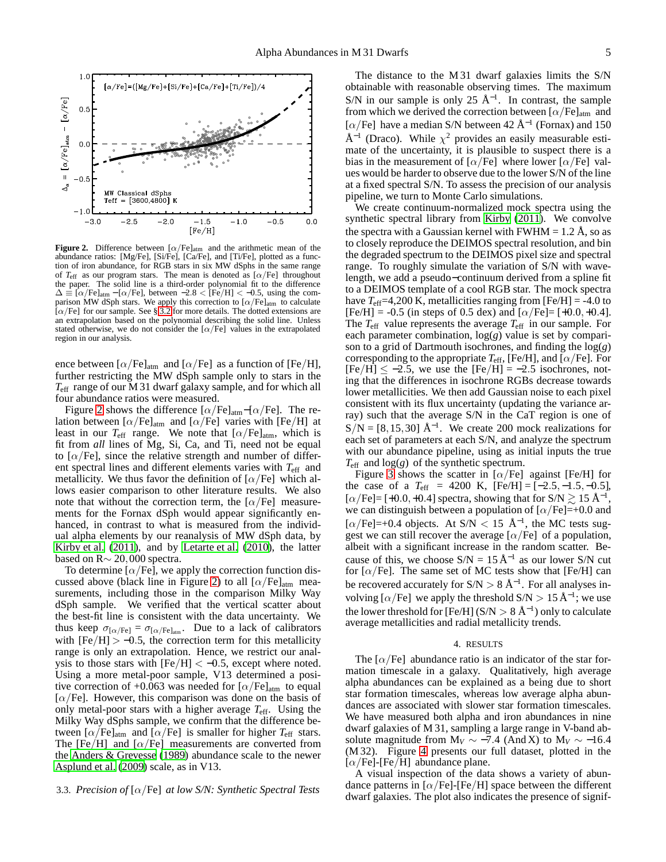

<span id="page-4-2"></span>**Figure 2.** Difference between  $\alpha$ /Fe]<sub>atm</sub> and the arithmetic mean of the abundance ratios: [Mg/Fe], [Si/Fe], [Ca/Fe], and [Ti/Fe], plotted as a function of iron abundance, for RGB stars in six MW dSphs in the same range of  $T_{\text{eff}}$  as our program stars. The mean is denoted as  $[\alpha/\text{Fe}]$  throughout the paper. The solid line is a third-order polynomial fit to the difference  $\Delta \equiv [\alpha/\text{Fe}]_{\text{atm}} - [\alpha/\text{Fe}]$ , between  $-2.8 <$  [Fe/H]  $< -0.5$ , using the comparison MW dSph stars. We apply this correction to  $\lbrack \alpha/\mathrm{Fe} \rbrack_{\text{atm}}$  to calculate  $\left[\alpha/\text{Fe}\right]$  for our sample. See § [3.2](#page-3-0) for more details. The dotted extensions are an extrapolation based on the polynomial describing the solid line. Unless stated otherwise, we do not consider the  $[\alpha/Fe]$  values in the extrapolated region in our analysis.

ence between  $\left[\alpha/\text{Fe}\right]_{\text{atm}}$  and  $\left[\alpha/\text{Fe}\right]$  as a function of [Fe/H], further restricting the MW dSph sample only to stars in the *T*eff range of our M 31 dwarf galaxy sample, and for which all four abundance ratios were measured.

Figure [2](#page-4-2) shows the difference  $[\alpha/Fe]_{atm}$ – $[\alpha/Fe]$ . The relation between  $\lbrack \alpha/\text{Fe} \rbrack$  and  $\lbrack \alpha/\text{Fe} \rbrack$  varies with  $\lbrack \text{Fe/H} \rbrack$  at least in our  $T_{\text{eff}}$  range. We note that  $[\alpha/\text{Fe}]_{\text{atm}}$ , which is fit from *all* lines of Mg, Si, Ca, and Ti, need not be equal to  $\lceil \alpha / \text{Fe} \rceil$ , since the relative strength and number of different spectral lines and different elements varies with *T*eff and metallicity. We thus favor the definition of  $\alpha$ /Fe] which allows easier comparison to other literature results. We also note that without the correction term, the  $\alpha$ /Fe] measurements for the Fornax dSph would appear significantly enhanced, in contrast to what is measured from the individual alpha elements by our reanalysis of MW dSph data, by [Kirby et al. \(2011\)](#page-14-5), and by [Letarte et al.](#page-14-3) [\(2010\)](#page-14-3), the latter based on R∼ 20,000 spectra.

To determine  $\alpha$ /Fe], we apply the correction function dis-cussed above (black line in Figure [2\)](#page-4-2) to all  $\left[\alpha/\text{Fe}\right]_{\text{atm}}$  measurements, including those in the comparison Milky Way dSph sample. We verified that the vertical scatter about the best-fit line is consistent with the data uncertainty. We thus keep  $\sigma_{\alpha/Fe]} = \sigma_{\alpha/Fe]_{atm}}$ . Due to a lack of calibrators with  $[Fe/H] > -0.5$ , the correction term for this metallicity range is only an extrapolation. Hence, we restrict our analysis to those stars with  $[Fe/H] < -0.5$ , except where noted. Using a more metal-poor sample, V13 determined a positive correction of +0.063 was needed for  $\left[\alpha/\text{Fe}\right]_{\text{atm}}$  to equal  $\alpha$ /Fe]. However, this comparison was done on the basis of only metal-poor stars with a higher average *T*eff. Using the Milky Way dSphs sample, we confirm that the difference between  $\lceil \alpha/\text{Fe} \rceil$  and  $\lceil \alpha/\text{Fe} \rceil$  is smaller for higher  $T_{\text{eff}}$  stars. The [Fe/H] and [ $\alpha$ /Fe] measurements are converted from the [Anders & Grevesse \(1989\)](#page-14-58) abundance scale to the newer [Asplund et al. \(2009](#page-14-59)) scale, as in V13.

## <span id="page-4-1"></span>3.3. *Precision of* [α/Fe] *at low S/N: Synthetic Spectral Tests*

The distance to the M 31 dwarf galaxies limits the S/N obtainable with reasonable observing times. The maximum S/N in our sample is only 25  $\AA^{-1}$ . In contrast, the sample from which we derived the correction between  $[\alpha/Fe]_{\text{atm}}$  and [ $\alpha$ /Fe] have a median S/N between 42 Å<sup>-1</sup> (Fornax) and 150  $\AA^{-1}$  (Draco). While  $\chi^2$  provides an easily measurable estimate of the uncertainty, it is plausible to suspect there is a bias in the measurement of  $\lbrack \alpha/\text{Fe} \rbrack$  where lower  $\lbrack \alpha/\text{Fe} \rbrack$  values would be harder to observe due to the lower S/N of the line at a fixed spectral S/N. To assess the precision of our analysis pipeline, we turn to Monte Carlo simulations.

We create continuum-normalized mock spectra using the synthetic spectral library from [Kirby \(2011\)](#page-14-53). We convolve the spectra with a Gaussian kernel with  $FWHM = 1.2 \text{ Å}$ , so as to closely reproduce the DEIMOS spectral resolution, and bin the degraded spectrum to the DEIMOS pixel size and spectral range. To roughly simulate the variation of S/N with wavelength, we add a pseudo−continuum derived from a spline fit to a DEIMOS template of a cool RGB star. The mock spectra have  $T_{\text{eff}}$ =4,200 K, metallicities ranging from [Fe/H] = -4.0 to  $[Fe/H] = -0.5$  (in steps of 0.5 dex) and  $[\alpha/Fe] = [+0.0, +0.4]$ . The *T*eff value represents the average *T*eff in our sample. For each parameter combination, log(*g*) value is set by comparison to a grid of Dartmouth isochrones, and finding the log(*g*) corresponding to the appropriate  $T_{\rm eff}$ , [Fe/H], and [ $\alpha$ /Fe]. For  $[Fe/H] \le -2.5$ , we use the  $[Fe/H] = -2.5$  isochrones, noting that the differences in isochrone RGBs decrease towards lower metallicities. We then add Gaussian noise to each pixel consistent with its flux uncertainty (updating the variance array) such that the average S/N in the CaT region is one of  $S/N = [8, 15, 30]$  Å<sup>-1</sup>. We create 200 mock realizations for each set of parameters at each S/N, and analyze the spectrum with our abundance pipeline, using as initial inputs the true  $T_{\text{eff}}$  and  $\log(g)$  of the synthetic spectrum.

Figure [3](#page-5-0) shows the scatter in  $[\alpha/Fe]$  against [Fe/H] for the case of a  $T_{\text{eff}}$  = 4200 K, [Fe/H] = [-2.5, -1.5, -0.5], [ $\alpha$ /Fe]= [+0.0,+0.4] spectra, showing that for S/N  $\gtrsim 15 \text{ Å}^{-1}$ , we can distinguish between a population of  $\lbrack \alpha/\text{Fe} \rbrack = +0.0$  and [ $\alpha$ /Fe]=+0.4 objects. At S/N < 15 Å<sup>-1</sup>, the MC tests suggest we can still recover the average  $\lbrack \alpha/\text{Fe} \rbrack$  of a population, albeit with a significant increase in the random scatter. Because of this, we choose  $S/N = 15 \text{ Å}^{-1}$  as our lower S/N cut for  $\lceil \alpha / \text{Fe} \rceil$ . The same set of MC tests show that  $\lceil \text{Fe/H} \rceil$  can be recovered accurately for  $S/N > 8 \text{ Å}^{-1}$ . For all analyses involving [ $\alpha$ /Fe] we apply the threshold S/N > 15 Å<sup>-1</sup>; we use the lower threshold for [Fe/H] (S/N  $> 8~\rm\AA^{-1})$  only to calculate average metallicities and radial metallicity trends.

## 4. RESULTS

<span id="page-4-0"></span>The  $\lbrack \alpha/\text{Fe} \rbrack$  abundance ratio is an indicator of the star formation timescale in a galaxy. Qualitatively, high average alpha abundances can be explained as a being due to short star formation timescales, whereas low average alpha abundances are associated with slower star formation timescales. We have measured both alpha and iron abundances in nine dwarf galaxies of M 31, sampling a large range in V-band absolute magnitude from  $M_V \sim -7.4$  (And X) to  $M_V \sim -16.4$ (M 32). Figure [4](#page-6-0) presents our full dataset, plotted in the  $[\alpha/Fe]$ -[Fe/H] abundance plane.

A visual inspection of the data shows a variety of abundance patterns in  $\lceil \alpha/\text{Fe} \rceil$ -[Fe/H] space between the different dwarf galaxies. The plot also indicates the presence of signif-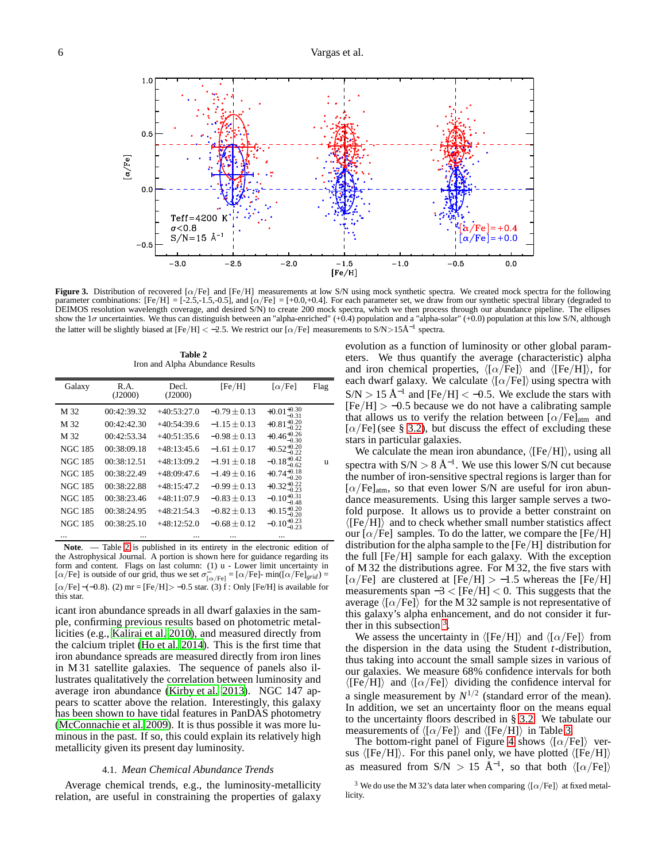

<span id="page-5-0"></span>**Figure 3.** Distribution of recovered [ $\alpha$ /Fe] and [Fe/H] measurements at low S/N using mock synthetic spectra. We created mock spectra for the following parameter combinations:  $[Fe/H] = [-2.5, -1.5, -0.5]$ , and  $[\alpha/Fe] = +0.0, +0.4]$ . For each parameter set, we draw from our synthetic spectral library (degraded to DEIMOS resolution wavelength coverage, and desired S/N) to create 200 mock spectra, which we then process through our abundance pipeline. The ellipses show the  $1\sigma$  uncertainties. We thus can distinguish between an "alpha-enriched" (+0.4) population and a "alpha-solar" (+0.0) population at this low S/N, although the latter will be slightly biased at [Fe/H] < -2.5. We restrict our [ $\alpha$ /Fe] measurements to S/N>15Å<sup>-1</sup> spectra.

**Table 2** Iron and Alpha Abundance Results

<span id="page-5-1"></span>

| Galaxy         | R.A.<br>(J2000) | Decl.<br>(J2000) | [Fe/H]           | $\lceil \alpha/\text{Fe} \rceil$   | Flag |
|----------------|-----------------|------------------|------------------|------------------------------------|------|
| M 32           | 00:42:39.32     | $+40:53:27.0$    | $-0.79 \pm 0.13$ | $+0.01_{-0.31}^{+0.30}$            |      |
| M 32           | 00:42:42.30     | $+40:54:39.6$    | $-1.15 + 0.13$   | $+0.81^{+0.20}_{-0.22}$            |      |
| M 32           | 00:42:53.34     | $+40:51:35.6$    | $-0.98 + 0.13$   | $+0.46^{+0.26}_{-0.30}$            |      |
| <b>NGC 185</b> | 00:38:09.18     | $+48:13:45.6$    | $-1.61 + 0.17$   | $+0.52^{+0.20}_{-0.22}$            |      |
| <b>NGC 185</b> | 00:38:12.51     | $+48:13:09.2$    | $-1.91 + 0.18$   | $-0.18_{-0.62}^{+0.42}$            | u    |
| <b>NGC 185</b> | 00:38:22.49     | $+48:09:47.6$    | $-1.49 + 0.16$   | $+0.74^{+0.18}_{-0.22}$<br>$-0.20$ |      |
| <b>NGC 185</b> | 00:38:22.88     | $+48:15:47.2$    | $-0.99 + 0.13$   | $+0.32^{+0.22}_{-0.23}$            |      |
| <b>NGC 185</b> | 00:38:23.46     | $+48:11:07.9$    | $-0.83 \pm 0.13$ | $-0.10^{+0.31}_{-0.48}$            |      |
| <b>NGC 185</b> | 00:38:24.95     | $+48:21:54.3$    | $-0.82 + 0.13$   | $+0.15_{-0.20}^{+0.20}$            |      |
| <b>NGC 185</b> | 00:38:25.10     | $+48:12:52.0$    | $-0.68 + 0.12$   | $-0.10^{+0.23}_{-0.23}$            |      |
|                |                 |                  |                  |                                    |      |

Note. — Table [2](#page-5-1) is published in its entirety in the electronic edition of the Astrophysical Journal. A portion is shown here for guidance regarding its form and content. Flags on last column: (1) u - Lower limit uncertainty in [ $\alpha$ /Fe] is outside of our grid, thus we set  $\sigma_{\alpha/Fe]}^{\sim} = [\alpha/Fe]$ - min( $[\alpha/Fe]_{grid}$ ) = [ $\alpha$ /Fe] –(-0.8). (2) mr = [Fe/H] > -0.5 star. (3) f : Only [Fe/H] is available for this star.

icant iron abundance spreads in all dwarf galaxies in the sample, confirming previous results based on photometric metallicities (e.g., [Kalirai et al. 2010\)](#page-14-25), and measured directly from the calcium triplet [\(Ho et al. 2014\)](#page-14-27). This is the first time that iron abundance spreads are measured directly from iron lines in M 31 satellite galaxies. The sequence of panels also illustrates qualitatively the correlation between luminosity and average iron abundance [\(Kirby et al. 2013\)](#page-14-11). NGC 147 appears to scatter above the relation. Interestingly, this galaxy has been shown to have tidal features in PanDAS photometry [\(McConnachie et al. 2009](#page-14-39)). It is thus possible it was more luminous in the past. If so, this could explain its relatively high metallicity given its present day luminosity.

## 4.1. *Mean Chemical Abundance Trends*

<span id="page-5-3"></span>Average chemical trends, e.g., the luminosity-metallicity relation, are useful in constraining the properties of galaxy

evolution as a function of luminosity or other global parameters. We thus quantify the average (characteristic) alpha and iron chemical properties,  $\langle [\alpha/Fe]\rangle$  and  $\langle [Fe/H]\rangle$ , for each dwarf galaxy. We calculate  $\langle [\alpha/Fe]\rangle$  using spectra with  $S/N > 15 \text{ Å}^{-1}$  and [Fe/H] < -0.5. We exclude the stars with  $[Fe/H] > -0.5$  because we do not have a calibrating sample that allows us to verify the relation between  $[\alpha/Fe]_{\text{atm}}$  and  $[\alpha/\text{Fe}]$  (see § [3.2\)](#page-3-0), but discuss the effect of excluding these stars in particular galaxies.

We calculate the mean iron abundance,  $\langle [Fe/H] \rangle$ , using all spectra with  $S/N > 8 \text{ Å}^{-1}$ . We use this lower S/N cut because the number of iron-sensitive spectral regions is larger than for  $[\alpha/Fe]_{atm}$ , so that even lower S/N are useful for iron abundance measurements. Using this larger sample serves a twofold purpose. It allows us to provide a better constraint on  $\langle$ [Fe/H]) and to check whether small number statistics affect our  $\alpha$ /Fe] samples. To do the latter, we compare the [Fe/H] distribution for the alpha sample to the [Fe/H] distribution for the full [Fe/H] sample for each galaxy. With the exception of M 32 the distributions agree. For M 32, the five stars with [ $\alpha$ /Fe] are clustered at [Fe/H] > -1.5 whereas the [Fe/H] measurements span  $-3 <$  [Fe/H]  $<$  0. This suggests that the average  $\langle \lceil \alpha / \text{Fe} \rceil \rangle$  for the M 32 sample is not representative of this galaxy's alpha enhancement, and do not consider it further in this subsection  $3$ .

We assess the uncertainty in  $\langle [Fe/H] \rangle$  and  $\langle [\alpha/Fe] \rangle$  from the dispersion in the data using the Student *t*-distribution, thus taking into account the small sample sizes in various of our galaxies. We measure 68% confidence intervals for both  $\langle [Fe/H] \rangle$  and  $\langle [\alpha/Fe] \rangle$  dividing the confidence interval for a single measurement by  $N^{1/2}$  (standard error of the mean). In addition, we set an uncertainty floor on the means equal to the uncertainty floors described in § [3.2.](#page-3-0) We tabulate our measurements of  $\langle [\alpha/Fe]\rangle$  and  $\langle [Fe/H]\rangle$  in Table [3.](#page-8-0)

The bottom-right panel of Figure [4](#page-6-0) shows  $\langle [\alpha/Fe]\rangle$  versus  $\langle [Fe/H] \rangle$ . For this panel only, we have plotted  $\langle [Fe/H] \rangle$ as measured from S/N > 15 Å<sup>-1</sup>, so that both  $\langle [\alpha/Fe] \rangle$ 

<span id="page-5-2"></span> $^3$  We do use the M 32's data later when comparing  $\langle {\rm [}\alpha/{\rm Fe}{\rm ]}\rangle\,$  at fixed metallicity.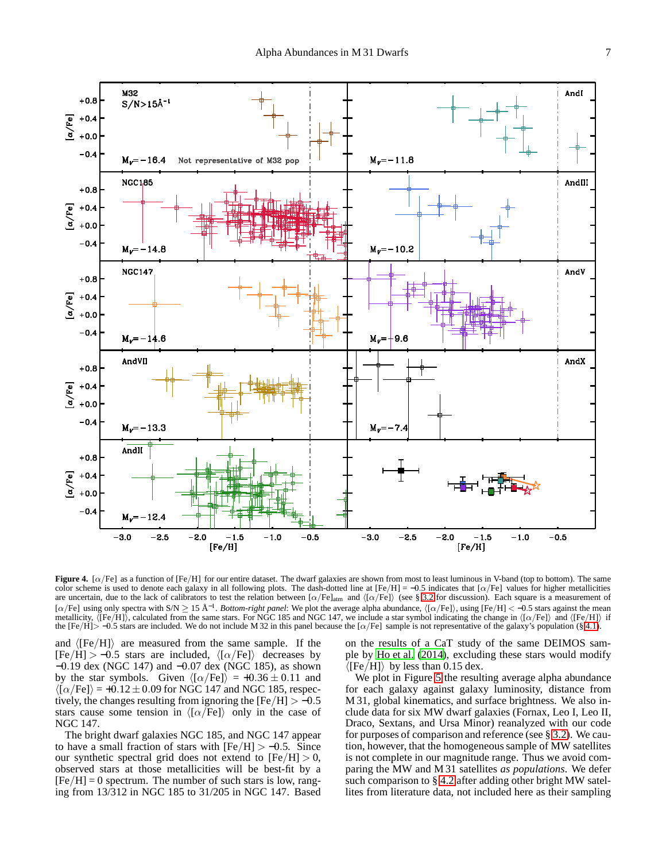

<span id="page-6-0"></span>**Figure 4.** [α/Fe] as a function of [Fe/H] for our entire dataset. The dwarf galaxies are shown from most to least luminous in V-band (top to bottom). The same color scheme is used to denote each galaxy in all following plots. The dash-dotted line at  $[Fe/H] = -0.5$  indicates that  $[\alpha/Fe]$  values for higher metallicities are uncertain, due to the lack of calibrators to test the relation between  $\alpha/Fe$ ]atm and  $\langle [\alpha/Fe] \rangle$  (see § [3.2](#page-3-0) for discussion). Each square is a measurement of  $\lceil \alpha/\text{Fe} \rceil$  using only spectra with S/N  $\geq$  15 Å<sup>-1</sup>. *Bottom-right panel*: We plot the average alpha abundance,  $\langle \lceil \alpha/\text{Fe} \rceil \rangle$ , using  $\lceil \text{Fe/H} \rceil$  < -0.5 stars against the mean metallicity,  $\langle [Fe/H] \rangle$ , calculated from the same stars. For NGC 185 and NGC 147, we include a star symbol indicating the change in  $\langle [\alpha/Fe] \rangle$  and  $\langle [Fe/H] \rangle$  if the  $[Fe/H] > -0.5$  stars are included. We do not include M 32 in this panel because the  $[\alpha/Fe]$  sample is not representative of the galaxy's population (§ [4.1\)](#page-5-3).

and  $\langle$ [Fe/H]) are measured from the same sample. If the  $[Fe/H] > -0.5$  stars are included,  $\langle [\alpha/Fe]\rangle$  decreases by −0.19 dex (NGC 147) and −0.07 dex (NGC 185), as shown by the star symbols. Given  $\langle [\alpha/Fe] \rangle = +0.36 \pm 0.11$  and  $\langle [\alpha/Fe]\rangle = +0.12 \pm 0.09$  for NGC 147 and NGC 185, respectively, the changes resulting from ignoring the  $[Fe/H] > -0.5$ stars cause some tension in  $\langle [\alpha/Fe] \rangle$  only in the case of NGC 147.

The bright dwarf galaxies NGC 185, and NGC 147 appear to have a small fraction of stars with  $[Fe/H] > -0.5$ . Since our synthetic spectral grid does not extend to  $[Fe/H] > 0$ , observed stars at those metallicities will be best-fit by a  $[Fe/H] = 0$  spectrum. The number of such stars is low, ranging from 13/312 in NGC 185 to 31/205 in NGC 147. Based on the results of a CaT study of the same DEIMOS sample by [Ho et al. \(2014\)](#page-14-27), excluding these stars would modify  $\langle$ [Fe/H]) by less than 0.15 dex.

We plot in Figure [5](#page-7-0) the resulting average alpha abundance for each galaxy against galaxy luminosity, distance from M 31, global kinematics, and surface brightness. We also include data for six MW dwarf galaxies (Fornax, Leo I, Leo II, Draco, Sextans, and Ursa Minor) reanalyzed with our code for purposes of comparison and reference (see § [3.2\)](#page-3-0). We caution, however, that the homogeneous sample of MW satellites is not complete in our magnitude range. Thus we avoid comparing the MW and M 31 satellites *as populations*. We defer such comparison to § [4.2](#page-8-1) after adding other bright MW satellites from literature data, not included here as their sampling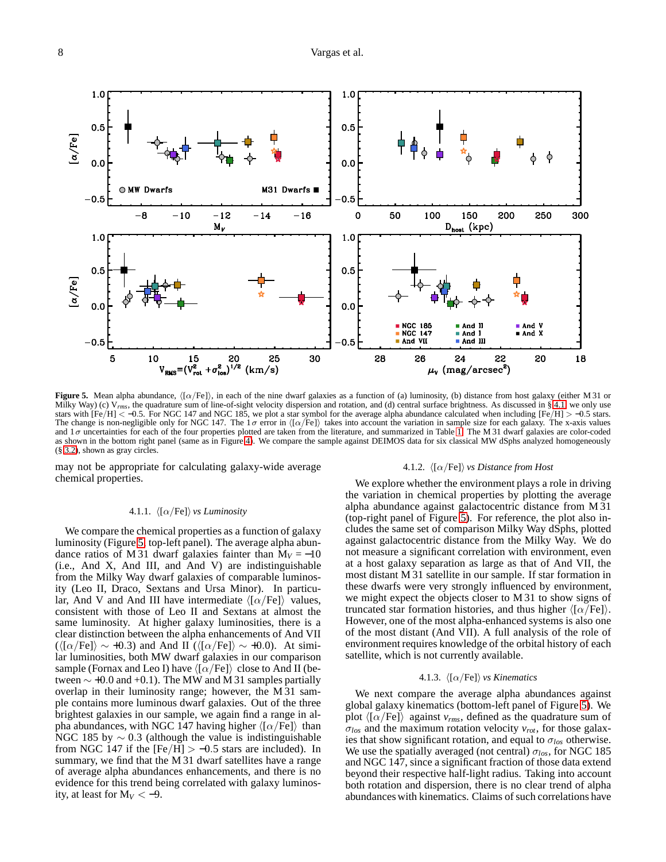

<span id="page-7-0"></span>**Figure 5.** Mean alpha abundance,  $\langle [\alpha/Fe] \rangle$ , in each of the nine dwarf galaxies as a function of (a) luminosity, (b) distance from host galaxy (either M 31 or Milky Way) (c)  $V_{rms}$ , the quadrature sum of line-of-sight velocity dispersion and rotation, and (d) central surface brightness. As discussed in § [4.1,](#page-5-3) we only use stars with  $[Fe/H] < -0.5$ . For NGC 147 and NGC 185, we plot a star symbol for the average alpha abundance calculated when including  $[Fe/H] > -0.5$  stars. The change is non-negligible only for NGC 147. The  $1\sigma$  error in  $\langle [\alpha/Fe] \rangle$  takes into account the variation in sample size for each galaxy. The x-axis values and  $1\sigma$  uncertainties for each of the four properties plotted are taken from the literature, and summarized in Table [1.](#page-1-1) The M 31 dwarf galaxies are color-coded as shown in the bottom right panel (same as in Figure [4\)](#page-6-0). We compare the sample against DEIMOS data for six classical MW dSphs analyzed homogeneously (§ [3.2\)](#page-3-0), shown as gray circles.

may not be appropriate for calculating galaxy-wide average chemical properties.

#### 4.1.2.  $\langle [\alpha/Fe] \rangle$  *vs Distance from Host*

#### 4.1.1.  $\langle [\alpha/Fe]\rangle$  *vs Luminosity*

We compare the chemical properties as a function of galaxy luminosity (Figure [5,](#page-7-0) top-left panel). The average alpha abundance ratios of M 31 dwarf galaxies fainter than  $M_V = -10$ (i.e., And X, And III, and And V) are indistinguishable from the Milky Way dwarf galaxies of comparable luminosity (Leo II, Draco, Sextans and Ursa Minor). In particular, And V and And III have intermediate  $\langle \lceil \alpha / \text{Fe} \rceil \rangle$  values, consistent with those of Leo II and Sextans at almost the same luminosity. At higher galaxy luminosities, there is a clear distinction between the alpha enhancements of And VII  $({\langle [\alpha/Fe]\rangle \sim +0.3})$  and And II ( ${\langle [\alpha/Fe]\rangle \sim +0.0}$ ). At similar luminosities, both MW dwarf galaxies in our comparison sample (Fornax and Leo I) have  $\langle \lceil \alpha / \text{Fe} \rceil \rangle$  close to And II (between  $\sim$  +0.0 and +0.1). The MW and M 31 samples partially overlap in their luminosity range; however, the M 31 sample contains more luminous dwarf galaxies. Out of the three brightest galaxies in our sample, we again find a range in alpha abundances, with NGC 147 having higher  $\langle \lceil \alpha / \text{Fe} \rceil \rangle$  than NGC 185 by  $\sim$  0.3 (although the value is indistinguishable from NGC 147 if the  $[Fe/H] > -0.5$  stars are included). In summary, we find that the M 31 dwarf satellites have a range of average alpha abundances enhancements, and there is no evidence for this trend being correlated with galaxy luminosity, at least for  $M_V < -9$ .

We explore whether the environment plays a role in driving the variation in chemical properties by plotting the average alpha abundance against galactocentric distance from M 31 (top-right panel of Figure [5\)](#page-7-0). For reference, the plot also includes the same set of comparison Milky Way dSphs, plotted against galactocentric distance from the Milky Way. We do not measure a significant correlation with environment, even at a host galaxy separation as large as that of And VII, the most distant M 31 satellite in our sample. If star formation in these dwarfs were very strongly influenced by environment, we might expect the objects closer to M 31 to show signs of truncated star formation histories, and thus higher  $\langle [\alpha/Fe]\rangle$ . However, one of the most alpha-enhanced systems is also one of the most distant (And VII). A full analysis of the role of environment requires knowledge of the orbital history of each satellite, which is not currently available.

## 4.1.3.  $\langle [\alpha/Fe] \rangle$  *vs Kinematics*

We next compare the average alpha abundances against global galaxy kinematics (bottom-left panel of Figure [5\)](#page-7-0). We plot  $\langle [\alpha/Fe] \rangle$  against  $v_{rms}$ , defined as the quadrature sum of σ*los* and the maximum rotation velocity *vrot*, for those galaxies that show significant rotation, and equal to  $\sigma_{los}$  otherwise. We use the spatially averaged (not central) σ*los*, for NGC 185 and NGC 147, since a significant fraction of those data extend beyond their respective half-light radius. Taking into account both rotation and dispersion, there is no clear trend of alpha abundances with kinematics. Claims of such correlations have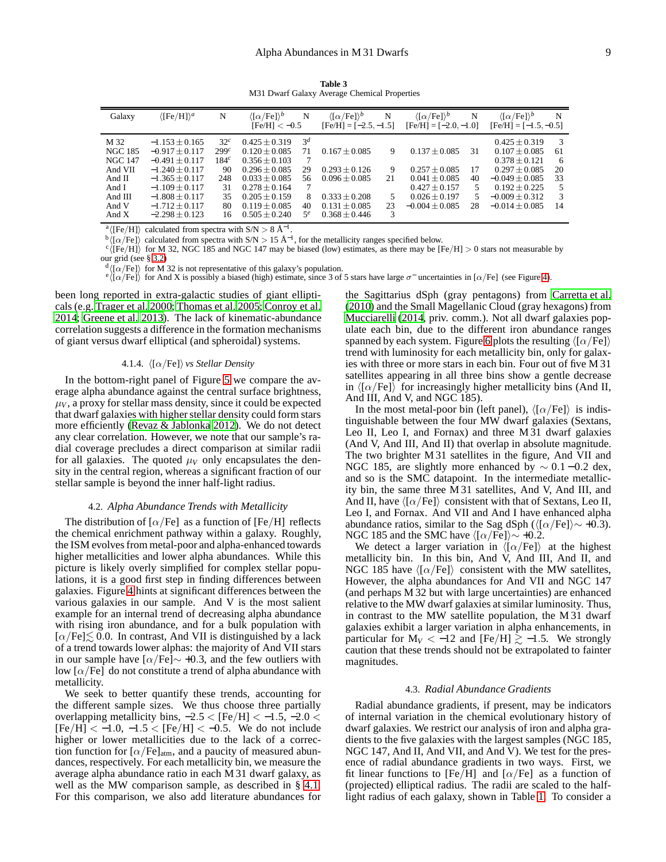**Table 3** M31 Dwarf Galaxy Average Chemical Properties

<span id="page-8-0"></span>

| Galaxy         | $\langle$ [Fe/H] $\rangle$ <sup>a</sup> | N                | $\langle [\alpha/Fe]\rangle^b$<br>$[Fe/H] < -0.5$ | N     | $\langle [\alpha/Fe]\rangle^b$<br>$[Fe/H] = [-2.5, -1.5]$ | N  | $\langle [\alpha/Fe]\rangle^b$<br>$[Fe/H] = [-2.0, -1.0]$ | N  | $\langle [\alpha/Fe]\rangle^b$<br>$[Fe/H] = [-1.5, -0.5]$ | N             |
|----------------|-----------------------------------------|------------------|---------------------------------------------------|-------|-----------------------------------------------------------|----|-----------------------------------------------------------|----|-----------------------------------------------------------|---------------|
| M 32           | $-1.153 + 0.165$                        | 32 <sup>c</sup>  | $0.425 + 0.319$                                   | $3^d$ |                                                           |    |                                                           |    | $0.425 + 0.319$                                           | 3             |
| <b>NGC 185</b> | $-0.917 + 0.117$                        | 299c             | $0.120 + 0.085$                                   |       | $0.167 + 0.085$                                           | 9  | $0.137 \pm 0.085$                                         | 31 | $0.107 + 0.085$                                           | 61            |
| <b>NGC 147</b> | $-0.491 + 0.117$                        | 184 <sup>c</sup> | $0.356 \pm 0.103$                                 |       |                                                           |    |                                                           |    | $0.378 + 0.121$                                           | 6             |
| And VII        | $-1.240 + 0.117$                        | 90               | $0.296 + 0.085$                                   | 29    | $0.293 + 0.126$                                           | 9  | $0.257 + 0.085$                                           | 17 | $0.297 + 0.085$                                           | 20            |
| And II         | $-1.365 + 0.117$                        | 248              | $0.033 + 0.085$                                   | 56    | $0.096 + 0.085$                                           | 21 | $0.041 + 0.085$                                           | 40 | $-0.049 + 0.085$                                          | 33            |
| And I          | $-1.109 + 0.117$                        | 31               | $0.278 + 0.164$                                   |       |                                                           |    | $0.427 + 0.157$                                           | 5. | $0.192 + 0.225$                                           | 5             |
| And III        | $-1.808 + 0.117$                        | 35               | $0.205 + 0.159$                                   | 8     | $0.333 + 0.208$                                           | 5  | $0.026 + 0.197$                                           | 5. | $-0.009 + 0.312$                                          | $\mathcal{R}$ |
| And V          | $-1.712 + 0.117$                        | 80               | $0.119 + 0.085$                                   | 40    | $0.131 + 0.085$                                           | 23 | $-0.004 + 0.085$                                          | 28 | $-0.014 + 0.085$                                          | 14            |
| And $X$        | $-2.298 + 0.123$                        | 16               | $0.505 + 0.240$                                   | $5^e$ | $0.368 + 0.446$                                           | 3  |                                                           |    |                                                           |               |

<sup>a</sup> $\langle$ [Fe/H] $\rangle$  calculated from spectra with S/N > 8 Å<sup>-1</sup>.

 $\bar{\rm b}$  ([ $\alpha$ /Fe]) calculated from spectra with S/N > 15 Å<sup>-1</sup>, for the metallicity ranges specified below.

 $c \langle \overline{[Fe/H]} \rangle$  for M 32, NGC 185 and NGC 147 may be biased (low) estimates, as there may be  $[Fe/H] > 0$  stars not measurable by our grid (see § [3.2\)](#page-3-0)

 $d \langle [\alpha/Fe] \rangle$  for M 32 is not representative of this galaxy's population.

 $e\langle \overline{[\alpha/Fe]} \rangle$  for And X is possibly a biased (high) estimate, since 3 of 5 stars have large  $\sigma^-$  uncertainties in [ $\alpha$ /Fe] (see Figure [4\)](#page-6-0).

been long reported in extra-galactic studies of giant ellipticals (e.g. [Trager et al. 2000;](#page-15-3) [Thomas et al. 2005;](#page-14-60) [Conroy et al.](#page-14-61) [2014;](#page-14-61) [Greene et al. 2013](#page-14-62)). The lack of kinematic-abundance correlation suggests a difference in the formation mechanisms of giant versus dwarf elliptical (and spheroidal) systems.

## 4.1.4.  $\langle [\alpha/Fe] \rangle$  *vs Stellar Density*

In the bottom-right panel of Figure [5](#page-7-0) we compare the average alpha abundance against the central surface brightness,  $\mu_V$ , a proxy for stellar mass density, since it could be expected that dwarf galaxies with higher stellar density could form stars more efficiently [\(Revaz & Jablonka 2012](#page-14-63)). We do not detect any clear correlation. However, we note that our sample's radial coverage precludes a direct comparison at similar radii for all galaxies. The quoted  $\mu_V$  only encapsulates the density in the central region, whereas a significant fraction of our stellar sample is beyond the inner half-light radius.

#### 4.2. *Alpha Abundance Trends with Metallicity*

<span id="page-8-1"></span>The distribution of  $\lceil \alpha/\text{Fe} \rceil$  as a function of  $\lceil \text{Fe/H} \rceil$  reflects the chemical enrichment pathway within a galaxy. Roughly, the ISM evolves from metal-poor and alpha-enhanced towards higher metallicities and lower alpha abundances. While this picture is likely overly simplified for complex stellar populations, it is a good first step in finding differences between galaxies. Figure [4](#page-6-0) hints at significant differences between the various galaxies in our sample. And V is the most salient example for an internal trend of decreasing alpha abundance with rising iron abundance, and for a bulk population with  $\lbrack \alpha/\text{Fe} \rbrack \lesssim 0.0$ . In contrast, And VII is distinguished by a lack of a trend towards lower alphas: the majority of And VII stars in our sample have [ $\alpha$ /Fe]∼ +0.3, and the few outliers with low  $\left[\alpha/\text{Fe}\right]$  do not constitute a trend of alpha abundance with metallicity.

We seek to better quantify these trends, accounting for the different sample sizes. We thus choose three partially overlapping metallicity bins,  $-2.5 <$  [Fe/H]  $< -1.5$ ,  $-2.0 <$  $[Fe/H] < -1.0, -1.5 < [Fe/H] < -0.5$ . We do not include higher or lower metallicities due to the lack of a correction function for  $\left[\alpha/\text{Fe}\right]_{\text{atm}}$ , and a paucity of measured abundances, respectively. For each metallicity bin, we measure the average alpha abundance ratio in each M 31 dwarf galaxy, as well as the MW comparison sample, as described in § [4.1.](#page-5-3) For this comparison, we also add literature abundances for

the Sagittarius dSph (gray pentagons) from [Carretta et al.](#page-14-64) [\(2010\)](#page-14-64) and the Small Magellanic Cloud (gray hexagons) from [Mucciarelli \(2014,](#page-14-65) priv. comm.). Not all dwarf galaxies populate each bin, due to the different iron abundance ranges spanned by each system. Figure [6](#page-9-0) plots the resulting  $\langle [\alpha/Fe]\rangle$ trend with luminosity for each metallicity bin, only for galaxies with three or more stars in each bin. Four out of five M 31 satellites appearing in all three bins show a gentle decrease in  $\langle [\alpha/Fe] \rangle$  for increasingly higher metallicity bins (And II, And III, And V, and NGC 185).

In the most metal-poor bin (left panel),  $\langle [\alpha/Fe] \rangle$  is indistinguishable between the four MW dwarf galaxies (Sextans, Leo II, Leo I, and Fornax) and three M 31 dwarf galaxies (And V, And III, And II) that overlap in absolute magnitude. The two brighter M 31 satellites in the figure, And VII and NGC 185, are slightly more enhanced by  $\sim 0.1 - 0.2$  dex, and so is the SMC datapoint. In the intermediate metallicity bin, the same three M 31 satellites, And V, And III, and And II, have  $\langle [\alpha/Fe] \rangle$  consistent with that of Sextans, Leo II, Leo I, and Fornax. And VII and And I have enhanced alpha abundance ratios, similar to the Sag dSph ( $\langle [\alpha/Fe]\rangle \sim +0.3$ ). NGC 185 and the SMC have  $\langle [\alpha/Fe]\rangle \sim +0.2$ .

We detect a larger variation in  $\langle [\alpha/Fe] \rangle$  at the highest metallicity bin. In this bin, And V, And III, And II, and NGC 185 have  $\langle \lceil \alpha / \text{Fe} \rceil \rangle$  consistent with the MW satellites, However, the alpha abundances for And VII and NGC 147 (and perhaps M 32 but with large uncertainties) are enhanced relative to the MW dwarf galaxies at similar luminosity. Thus, in contrast to the MW satellite population, the M 31 dwarf galaxies exhibit a larger variation in alpha enhancements, in particular for  $M_V < -12$  and [Fe/H]  $\gtrsim -1.5$ . We strongly caution that these trends should not be extrapolated to fainter magnitudes.

#### 4.3. *Radial Abundance Gradients*

<span id="page-8-2"></span>Radial abundance gradients, if present, may be indicators of internal variation in the chemical evolutionary history of dwarf galaxies. We restrict our analysis of iron and alpha gradients to the five galaxies with the largest samples (NGC 185, NGC 147, And II, And VII, and And V). We test for the presence of radial abundance gradients in two ways. First, we fit linear functions to [Fe/H] and  $\lceil \alpha/\text{Fe} \rceil$  as a function of (projected) elliptical radius. The radii are scaled to the halflight radius of each galaxy, shown in Table [1.](#page-1-1) To consider a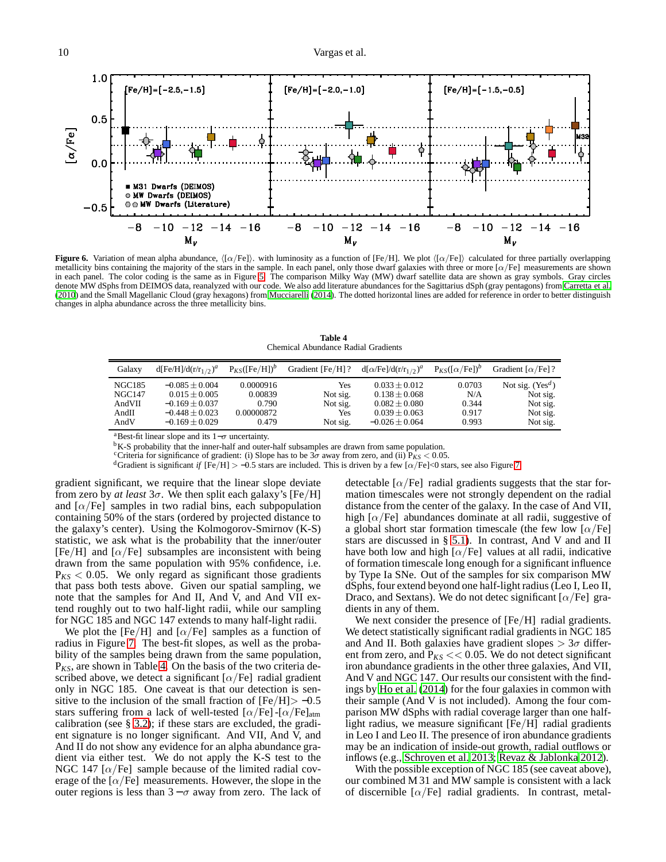

<span id="page-9-0"></span>**Figure 6.** Variation of mean alpha abundance,  $\langle [\alpha/Fe] \rangle$ . with luminosity as a function of [Fe/H]. We plot  $\langle [\alpha/Fe] \rangle$  calculated for three partially overlapping metallicity bins containing the majority of the stars in the sample. In each panel, only those dwarf galaxies with three or more  $\alpha$ /Fe] measurements are shown in each panel. The color coding is the same as in Figure [5.](#page-7-0) The comparison Milky Way (MW) dwarf satellite data are shown as gray symbols. Gray circles denote MW dSphs from DEIMOS data, reanalyzed with our code. We also add literature abundances for the Sagittarius dSph (gray pentagons) from [Carretta et al.](#page-14-64) [\(2010](#page-14-64)) and the Small Magellanic Cloud (gray hexagons) from [Mucciarelli](#page-14-65) [\(2014](#page-14-65)). The dotted horizontal lines are added for reference in order to better distinguish changes in alpha abundance across the three metallicity bins.

**Table 4** Chemical Abundance Radial Gradients

<span id="page-9-1"></span>

| Galaxy        | $d[Fe/H]/d(r/r_{1/2})^a$ | $P_{KS}([Fe/H])^b$ | Gradient [Fe/H] ? | $d[\alpha/\text{Fe}]/d(r/r_{1/2})^a$ | $P_{KS}([\alpha/Fe])^b$ | Gradient $\lceil \alpha/\text{Fe} \rceil$ ? |
|---------------|--------------------------|--------------------|-------------------|--------------------------------------|-------------------------|---------------------------------------------|
| <b>NGC185</b> | $-0.085 + 0.004$         | 0.0000916          | Yes               | $0.033 + 0.012$                      | 0.0703                  | Not sig. $(Yes^d)$                          |
| <b>NGC147</b> | $0.015 + 0.005$          | 0.00839            | Not sig.          | $0.138 \pm 0.068$                    | N/A                     | Not sig.                                    |
| AndVII        | $-0.169 + 0.037$         | 0.790              | Not sig.          | $0.082 \pm 0.080$                    | 0.344                   | Not sig.                                    |
| AndII         | $-0.448 \pm 0.023$       | 0.00000872         | Yes               | $0.039 \pm 0.063$                    | 0.917                   | Not sig.                                    |
| AndV          | $-0.169 + 0.029$         | 0.479              | Not sig.          | $-0.026 \pm 0.064$                   | 0.993                   | Not sig.                                    |

aBest-fit linear slope and its  $1-\sigma$  uncertainty.

<sup>b</sup>K-S probability that the inner-half and outer-half subsamples are drawn from same population.

<sup>c</sup>Criteria for significance of gradient: (i) Slope has to be  $3\sigma$  away from zero, and (ii)  $\hat{P_{KS}}$  < 0.05.

<sup>d</sup>Gradient is significant *if* [Fe/H] > -0.5 stars are included. This is driven by a few [ $\alpha$ /Fe]<0 stars, see also Figure [7.](#page-10-1)

gradient significant, we require that the linear slope deviate from zero by *at least*  $3\sigma$ . We then split each galaxy's [Fe/H] and  $\alpha$ /Fe] samples in two radial bins, each subpopulation containing 50% of the stars (ordered by projected distance to the galaxy's center). Using the Kolmogorov-Smirnov (K-S) statistic, we ask what is the probability that the inner/outer [Fe/H] and  $\alpha$ /Fe] subsamples are inconsistent with being drawn from the same population with 95% confidence, i.e.  $P_{KS}$  < 0.05. We only regard as significant those gradients that pass both tests above. Given our spatial sampling, we note that the samples for And II, And V, and And VII extend roughly out to two half-light radii, while our sampling for NGC 185 and NGC 147 extends to many half-light radii.

We plot the [Fe/H] and  $\alpha$ /Fe] samples as a function of radius in Figure [7.](#page-10-1) The best-fit slopes, as well as the probability of the samples being drawn from the same population, P*KS*, are shown in Table [4.](#page-9-1) On the basis of the two criteria described above, we detect a significant  $\lceil \alpha/\text{Fe} \rceil$  radial gradient only in NGC 185. One caveat is that our detection is sensitive to the inclusion of the small fraction of  $[Fe/H] > -0.5$ stars suffering from a lack of well-tested  $\left[\alpha/\text{Fe}\right]$ - $\left[\alpha/\text{Fe}\right]$ <sub>atm</sub> calibration (see § [3.2\)](#page-3-0); if these stars are excluded, the gradient signature is no longer significant. And VII, And V, and And II do not show any evidence for an alpha abundance gradient via either test. We do not apply the K-S test to the NGC 147  $\lceil \alpha / \text{Fe} \rceil$  sample because of the limited radial coverage of the  $\lceil \alpha / \text{Fe} \rceil$  measurements. However, the slope in the outer regions is less than  $3-\sigma$  away from zero. The lack of

detectable  $\lbrack \alpha/\text{Fe} \rbrack$  radial gradients suggests that the star formation timescales were not strongly dependent on the radial distance from the center of the galaxy. In the case of And VII, high  $\lceil \alpha / \text{Fe} \rceil$  abundances dominate at all radii, suggestive of a global short star formation timescale (the few low  $\lbrack \alpha/\text{Fe} \rbrack$ stars are discussed in § [5.1\)](#page-10-2). In contrast, And V and and II have both low and high  $\lbrack \alpha/\text{Fe} \rbrack$  values at all radii, indicative of formation timescale long enough for a significant influence by Type Ia SNe. Out of the samples for six comparison MW dSphs, four extend beyond one half-light radius (Leo I, Leo II, Draco, and Sextans). We do not detec significant  $\lceil \alpha / \text{Fe} \rceil$  gradients in any of them.

We next consider the presence of [Fe/H] radial gradients. We detect statistically significant radial gradients in NGC 185 and And II. Both galaxies have gradient slopes  $> 3\sigma$  different from zero, and  $P_{KS}$  << 0.05. We do not detect significant iron abundance gradients in the other three galaxies, And VII, And V and NGC 147. Our results our consistent with the findings by [Ho et al.](#page-14-27) [\(2014\)](#page-14-27) for the four galaxies in common with their sample (And V is not included). Among the four comparison MW dSphs with radial coverage larger than one halflight radius, we measure significant [Fe/H] radial gradients in Leo I and Leo II. The presence of iron abundance gradients may be an indication of inside-out growth, radial outflows or inflows (e.g., [Schroyen et al. 2013;](#page-14-66) [Revaz & Jablonka 2012\)](#page-14-63).

With the possible exception of NGC 185 (see caveat above), our combined M 31 and MW sample is consistent with a lack of discernible  $\lceil \alpha / \text{Fe} \rceil$  radial gradients. In contrast, metal-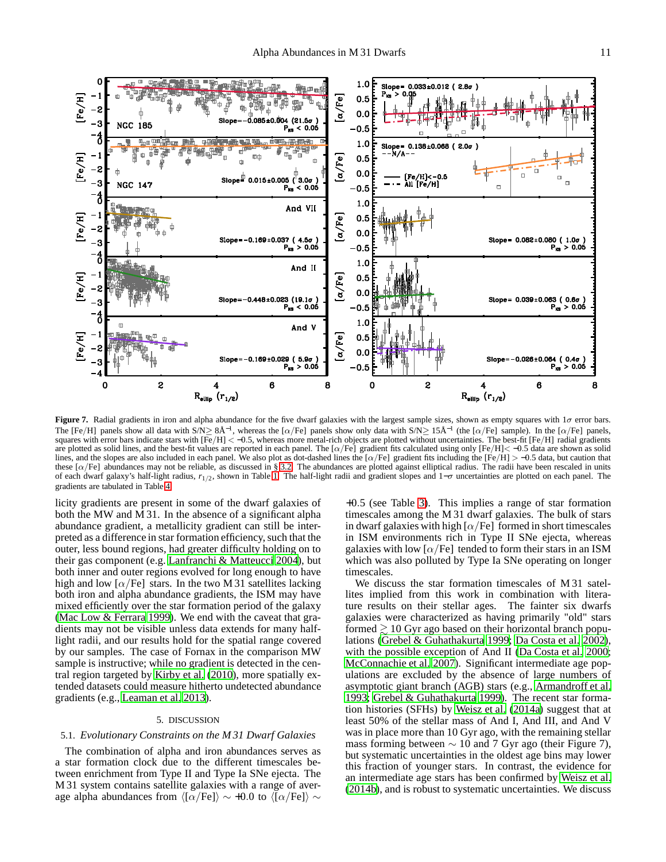

<span id="page-10-1"></span>**Figure 7.** Radial gradients in iron and alpha abundance for the five dwarf galaxies with the largest sample sizes, shown as empty squares with 1σ error bars. The [Fe/H] panels show all data with  $S/N \geq 8\AA^{-1}$ , whereas the [ $\alpha$ /Fe] panels show only data with  $S/N \geq 15\AA^{-1}$  (the [ $\alpha$ /Fe] sample). In the [ $\alpha$ /Fe] panels, squares with error bars indicate stars with  $\overline{[Fe/H]} < -0.5$ , whereas more metal-rich objects are plotted without uncertainties. The best-fit  $\overline{[Fe/H]}$  radial gradients are plotted as solid lines, and the best-fit values are reported in each panel. The  $\alpha$ /Fe] gradient fits calculated using only  $[Fe/H] < -0.5$  data are shown as solid lines, and the slopes are also included in each panel. We also plot as dot-dashed lines the  $\alpha$ /Fe] gradient fits including the  $\text{[Fe/H]} > -0.5$  data, but caution that these  $[\alpha/Fe]$  abundances may not be reliable, as discussed in § [3.2.](#page-3-0) The abundances are plotted against elliptical radius. The radii have been rescaled in units of each dwarf galaxy's half-light radius, *r*<sub>1/2</sub>, shown in Table [1.](#page-1-1) The half-light radii and gradient slopes and 1–σ uncertainties are plotted on each panel. The gradients are tabulated in Table [4.](#page-9-1)

licity gradients are present in some of the dwarf galaxies of both the MW and M 31. In the absence of a significant alpha abundance gradient, a metallicity gradient can still be interpreted as a difference in star formation efficiency, such that the outer, less bound regions, had greater difficulty holding on to their gas component (e.g. [Lanfranchi & Matteucci 2004\)](#page-14-67), but both inner and outer regions evolved for long enough to have high and low  $\lceil \alpha / \text{Fe} \rceil$  stars. In the two M 31 satellites lacking both iron and alpha abundance gradients, the ISM may have mixed efficiently over the star formation period of the galaxy [\(Mac Low & Ferrara 1999\)](#page-14-68). We end with the caveat that gradients may not be visible unless data extends for many halflight radii, and our results hold for the spatial range covered by our samples. The case of Fornax in the comparison MW sample is instructive; while no gradient is detected in the central region targeted by [Kirby et al. \(2010\)](#page-14-69), more spatially extended datasets could measure hitherto undetected abundance gradients (e.g., [Leaman et al. 2013\)](#page-14-70).

## 5. DISCUSSION

# <span id="page-10-2"></span><span id="page-10-0"></span>5.1. *Evolutionary Constraints on the M 31 Dwarf Galaxies*

The combination of alpha and iron abundances serves as a star formation clock due to the different timescales between enrichment from Type II and Type Ia SNe ejecta. The M 31 system contains satellite galaxies with a range of average alpha abundances from  $\langle [\alpha/Fe]\rangle \sim +0.0$  to  $\langle [\alpha/Fe]\rangle \sim$ 

+0.5 (see Table [3\)](#page-8-0). This implies a range of star formation timescales among the M 31 dwarf galaxies. The bulk of stars in dwarf galaxies with high  $\lceil \alpha / \text{Fe} \rceil$  formed in short timescales in ISM environments rich in Type II SNe ejecta, whereas galaxies with low  $\lbrack \alpha/\text{Fe} \rbrack$  tended to form their stars in an ISM which was also polluted by Type Ia SNe operating on longer timescales.

We discuss the star formation timescales of M 31 satellites implied from this work in combination with literature results on their stellar ages. The fainter six dwarfs galaxies were characterized as having primarily "old" stars formed  $\geq 10$  Gyr ago based on their horizontal branch populations [\(Grebel & Guhathakurta 1999](#page-14-71); [Da Costa et al. 2002](#page-14-72)), with the possible exception of And II [\(Da Costa et al. 2000](#page-14-73); [McConnachie et al. 2007](#page-14-74)). Significant intermediate age populations are excluded by the absence of large numbers of asymptotic giant branch (AGB) stars (e.g., [Armandroff et al.](#page-14-75) [1993;](#page-14-75) [Grebel & Guhathakurta 1999\)](#page-14-71). The recent star formation histories (SFHs) by [Weisz et al. \(2014a\)](#page-15-4) suggest that at least 50% of the stellar mass of And I, And III, and And V was in place more than 10 Gyr ago, with the remaining stellar mass forming between  $\sim$  10 and 7 Gyr ago (their Figure 7), but systematic uncertainties in the oldest age bins may lower this fraction of younger stars. In contrast, the evidence for an intermediate age stars has been confirmed by [Weisz et al.](#page-15-5) [\(2014b\)](#page-15-5), and is robust to systematic uncertainties. We discuss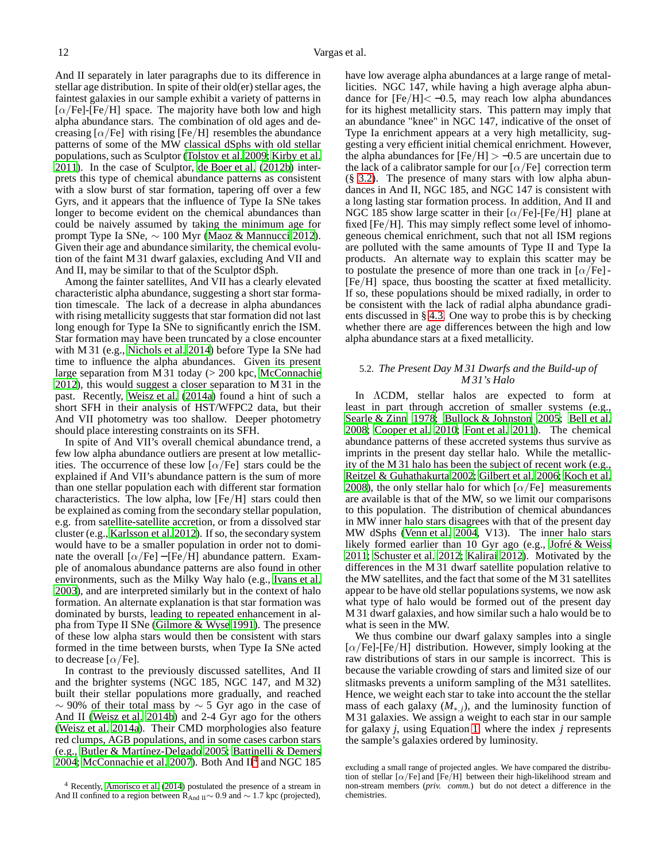And II separately in later paragraphs due to its difference in stellar age distribution. In spite of their old(er) stellar ages, the faintest galaxies in our sample exhibit a variety of patterns in  $[\alpha/Fe]$ -[Fe/H] space. The majority have both low and high alpha abundance stars. The combination of old ages and decreasing  $\lbrack \alpha/\text{Fe} \rbrack$  with rising [Fe/H] resembles the abundance patterns of some of the MW classical dSphs with old stellar populations, such as Sculptor [\(Tolstoy et al. 2009](#page-14-76); [Kirby et](#page-14-5) al. [2011\)](#page-14-5). In the case of Sculptor, [de Boer et al. \(2012b\)](#page-14-77) interprets this type of chemical abundance patterns as consistent with a slow burst of star formation, tapering off over a few Gyrs, and it appears that the influence of Type Ia SNe takes longer to become evident on the chemical abundances than could be naively assumed by taking the minimum age for prompt Type Ia SNe,  $\sim$  100 Myr [\(Maoz & Mannucci 2012\)](#page-14-78). Given their age and abundance similarity, the chemical evolution of the faint M 31 dwarf galaxies, excluding And VII and And II, may be similar to that of the Sculptor dSph.

Among the fainter satellites, And VII has a clearly elevated characteristic alpha abundance, suggesting a short star formation timescale. The lack of a decrease in alpha abundances with rising metallicity suggests that star formation did not last long enough for Type Ia SNe to significantly enrich the ISM. Star formation may have been truncated by a close encounter with M 31 (e.g., [Nichols et al. 2014](#page-14-79)) before Type Ia SNe had time to influence the alpha abundances. Given its present large separation from M 31 today (> 200 kpc, [McConnachie](#page-14-30) [2012\)](#page-14-30), this would suggest a closer separation to M 31 in the past. Recently, [Weisz et al.](#page-15-4) [\(2014a\)](#page-15-4) found a hint of such a short SFH in their analysis of HST/WFPC2 data, but their And VII photometry was too shallow. Deeper photometry should place interesting constraints on its SFH.

In spite of And VII's overall chemical abundance trend, a few low alpha abundance outliers are present at low metallicities. The occurrence of these low  $\lceil \alpha / \text{Fe} \rceil$  stars could be the explained if And VII's abundance pattern is the sum of more than one stellar population each with different star formation characteristics. The low alpha, low [Fe/H] stars could then be explained as coming from the secondary stellar population, e.g. from satellite-satellite accretion, or from a dissolved star cluster (e.g., [Karlsson et al. 2012\)](#page-14-80). If so, the secondary system would have to be a smaller population in order not to dominate the overall  $[\alpha/Fe] - [Fe/H]$  abundance pattern. Example of anomalous abundance patterns are also found in other environments, such as the Milky Way halo (e.g., [Ivans et al.](#page-14-81) [2003\)](#page-14-81), and are interpreted similarly but in the context of halo formation. An alternate explanation is that star formation was dominated by bursts, leading to repeated enhancement in alpha from Type II SNe [\(Gilmore & Wyse 1991\)](#page-14-24). The presence of these low alpha stars would then be consistent with stars formed in the time between bursts, when Type Ia SNe acted to decrease  $[\alpha/Fe]$ .

In contrast to the previously discussed satellites, And II and the brighter systems (NGC 185, NGC 147, and M 32) built their stellar populations more gradually, and reached  $\sim$  90% of their total mass by  $\sim$  5 Gyr ago in the case of And II [\(Weisz et al. 2014b\)](#page-15-5) and 2-4 Gyr ago for the others [\(Weisz et al. 2014a\)](#page-15-4). Their CMD morphologies also feature red clumps, AGB populations, and in some cases carbon stars (e.g., [Butler & Martínez-Delgado 2005](#page-14-82); [Battinelli & Demers](#page-14-83) [2004;](#page-14-83) [McConnachie et al. 2007](#page-14-74)). Both And  $II<sup>4</sup>$  $II<sup>4</sup>$  $II<sup>4</sup>$  and NGC 185

have low average alpha abundances at a large range of metallicities. NGC 147, while having a high average alpha abundance for  $[Fe/H] < -0.5$ , may reach low alpha abundances for its highest metallicity stars. This pattern may imply that an abundance "knee" in NGC 147, indicative of the onset of Type Ia enrichment appears at a very high metallicity, suggesting a very efficient initial chemical enrichment. However, the alpha abundances for  $[Fe/H] > -0.5$  are uncertain due to the lack of a calibrator sample for our  $\lbrack \alpha/\text{Fe} \rbrack$  correction term (§ [3.2\)](#page-3-0). The presence of many stars with low alpha abundances in And II, NGC 185, and NGC 147 is consistent with a long lasting star formation process. In addition, And II and NGC 185 show large scatter in their  $\lceil \alpha/\text{Fe} \rceil$ -[Fe/H] plane at fixed [Fe/H]. This may simply reflect some level of inhomogeneous chemical enrichment, such that not all ISM regions are polluted with the same amounts of Type II and Type Ia products. An alternate way to explain this scatter may be to postulate the presence of more than one track in  $\lceil \alpha / \overline{F}e \rceil$ -[Fe/H] space, thus boosting the scatter at fixed metallicity. If so, these populations should be mixed radially, in order to be consistent with the lack of radial alpha abundance gradients discussed in § [4.3.](#page-8-2) One way to probe this is by checking whether there are age differences between the high and low alpha abundance stars at a fixed metallicity.

# <span id="page-11-1"></span>5.2. *The Present Day M 31 Dwarfs and the Build-up of M 31's Halo*

In ΛCDM, stellar halos are expected to form at least in part through accretion of smaller systems (e.g., [Searle & Zinn 1978](#page-14-85); [Bullock & Johnston 2005;](#page-14-41) [Bell et al.](#page-14-42) [2008;](#page-14-42) [Cooper et al. 2010](#page-14-43); [Font et al. 2011\)](#page-14-44). The chemical abundance patterns of these accreted systems thus survive as imprints in the present day stellar halo. While the metallicity of the M 31 halo has been the subject of recent work (e.g., [Reitzel & Guhathakurta 2002;](#page-14-86) [Gilbert et al. 2006;](#page-14-50) [Koch et al.](#page-14-87) [2008\)](#page-14-87), the only stellar halo for which  $\lceil \alpha/\text{Fe} \rceil$  measurements are available is that of the MW, so we limit our comparisons to this population. The distribution of chemical abundances in MW inner halo stars disagrees with that of the present day MW dSphs [\(Venn et al. 2004,](#page-15-1) V13). The inner halo stars likely formed earlier than 10 Gyr ago (e.g., [Jofré & Weiss](#page-14-88) [2011;](#page-14-88) [Schuster et al. 2012;](#page-14-89) [Kalirai 2012\)](#page-14-90). Motivated by the differences in the M 31 dwarf satellite population relative to the MW satellites, and the fact that some of the M 31 satellites appear to be have old stellar populations systems, we now ask what type of halo would be formed out of the present day M 31 dwarf galaxies, and how similar such a halo would be to what is seen in the MW.

We thus combine our dwarf galaxy samples into a single  $[\alpha/Fe]$ -[Fe/H] distribution. However, simply looking at the raw distributions of stars in our sample is incorrect. This is because the variable crowding of stars and limited size of our slitmasks prevents a uniform sampling of the M31 satellites. Hence, we weight each star to take into account the the stellar mass of each galaxy  $(M_{*,j})$ , and the luminosity function of M 31 galaxies. We assign a weight to each star in our sample for galaxy *j*, using Equation [1,](#page-12-0) where the index *j* represents the sample's galaxies ordered by luminosity.

<span id="page-11-0"></span><sup>4</sup> Recently, [Amorisco et al. \(2014](#page-14-84)) postulated the presence of a stream in And II confined to a region between  $\overline{R}_{\text{And }II}$  ∼ 0.9 and ~ 1.7 kpc (projected),

excluding a small range of projected angles. We have compared the distribution of stellar  $\left[\alpha/\text{Fe}\right]$  and  $\left[\text{Fe}/\text{H}\right]$  between their high-likelihood stream and non-stream members (*priv. comm.*) but do not detect a difference in the chemistries.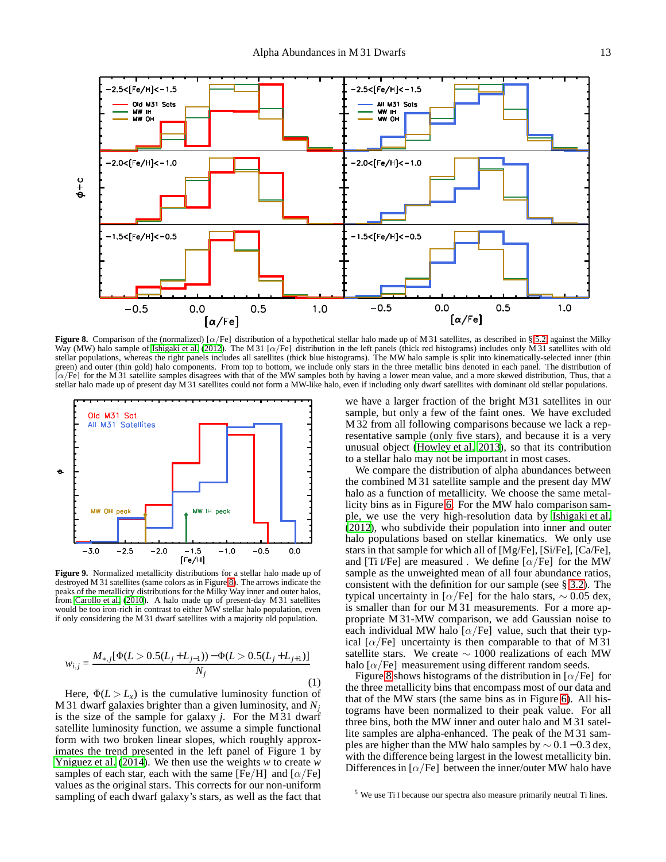

<span id="page-12-1"></span>**Figure 8.** Comparison of the (normalized) [α/Fe] distribution of a hypothetical stellar halo made up of M 31 satellites, as described in § [5.2,](#page-11-1) against the Milky Way (MW) halo sample of [Ishigaki et al. \(2012\)](#page-14-91). The M 31 [ $\alpha$ /Fe] distribution in the left panels (thick red histograms) includes only M 31 satellites with old stellar populations, whereas the right panels includes all satellites (thick blue histograms). The MW halo sample is split into kinematically-selected inner (thin green) and outer (thin gold) halo components. From top to bottom, we include only stars in the three metallic bins denoted in each panel. The distribution of  $[\alpha/Fe]$  for the M 31 satellite samples disagrees with that of the MW samples both by having a lower mean value, and a more skewed distribution, Thus, that a stellar halo made up of present day M 31 satellites could not form a MW-like halo, even if including only dwarf satellites with dominant old stellar populations.



<span id="page-12-2"></span>**Figure 9.** Normalized metallicity distributions for a stellar halo made up of destroyed M 31 satellites (same colors as in Figure [8\)](#page-12-1). The arrows indicate the peaks of the metallicity distributions for the Milky Way inner and outer halos, from [Carollo et al. \(2010](#page-14-92)). A halo made up of present-day M 31 satellites would be too iron-rich in contrast to either MW stellar halo population, even if only considering the M 31 dwarf satellites with a majority old population.

<span id="page-12-0"></span>
$$
w_{i,j} = \frac{M_{*,j}[\Phi(L > 0.5(L_j + L_{j-1})) - \Phi(L > 0.5(L_j + L_{j+1})]}{N_j}
$$
\n(1)

Here,  $\Phi(L > L_x)$  is the cumulative luminosity function of M 31 dwarf galaxies brighter than a given luminosity, and *N<sup>j</sup>* is the size of the sample for galaxy *j*. For the M 31 dwarf satellite luminosity function, we assume a simple functional form with two broken linear slopes, which roughly approximates the trend presented in the left panel of Figure 1 by [Yniguez et al. \(2014\)](#page-15-6). We then use the weights *w* to create *w* samples of each star, each with the same [Fe/H] and  $\lceil \alpha / \text{Fe} \rceil$ values as the original stars. This corrects for our non-uniform sampling of each dwarf galaxy's stars, as well as the fact that

we have a larger fraction of the bright M31 satellites in our sample, but only a few of the faint ones. We have excluded M 32 from all following comparisons because we lack a representative sample (only five stars), and because it is a very unusual object [\(Howley et al. 2013\)](#page-14-34), so that its contribution to a stellar halo may not be important in most cases.

We compare the distribution of alpha abundances between the combined M 31 satellite sample and the present day MW halo as a function of metallicity. We choose the same metallicity bins as in Figure [6.](#page-9-0) For the MW halo comparison sample, we use the very high-resolution data by [Ishigaki et al.](#page-14-91) [\(2012\)](#page-14-91), who subdivide their population into inner and outer halo populations based on stellar kinematics. We only use stars in that sample for which all of [Mg/Fe], [Si/Fe], [Ca/Fe], and [Ti I/Fe] are measured . We define  $\alpha$ /Fe] for the MW sample as the unweighted mean of all four abundance ratios, consistent with the definition for our sample (see § [3.2\)](#page-3-0). The typical uncertainty in [ $\alpha$ /Fe] for the halo stars,  $\sim 0.05$  dex, is smaller than for our M 31 measurements. For a more appropriate M 31-MW comparison, we add Gaussian noise to each individual MW halo [ $\alpha$ /Fe] value, such that their typical  $\lceil \alpha / \text{Fe} \rceil$  uncertainty is then comparable to that of M 31 satellite stars. We create  $\sim 1000$  realizations of each MW halo  $\lceil \alpha / \text{Fe} \rceil$  measurement using different random seeds.

Figure [8](#page-12-1) shows histograms of the distribution in  $\alpha$ /Fe] for the three metallicity bins that encompass most of our data and that of the MW stars (the same bins as in Figure [6\)](#page-9-0). All histograms have been normalized to their peak value. For all three bins, both the MW inner and outer halo and M 31 satellite samples are alpha-enhanced. The peak of the M 31 samples are higher than the MW halo samples by  $\sim 0.1 - 0.3$  dex, with the difference being largest in the lowest metallicity bin. Differences in  $\lbrack \alpha/\text{Fe} \rbrack$  between the inner/outer MW halo have

<sup>5</sup> We use Ti I because our spectra also measure primarily neutral Ti lines.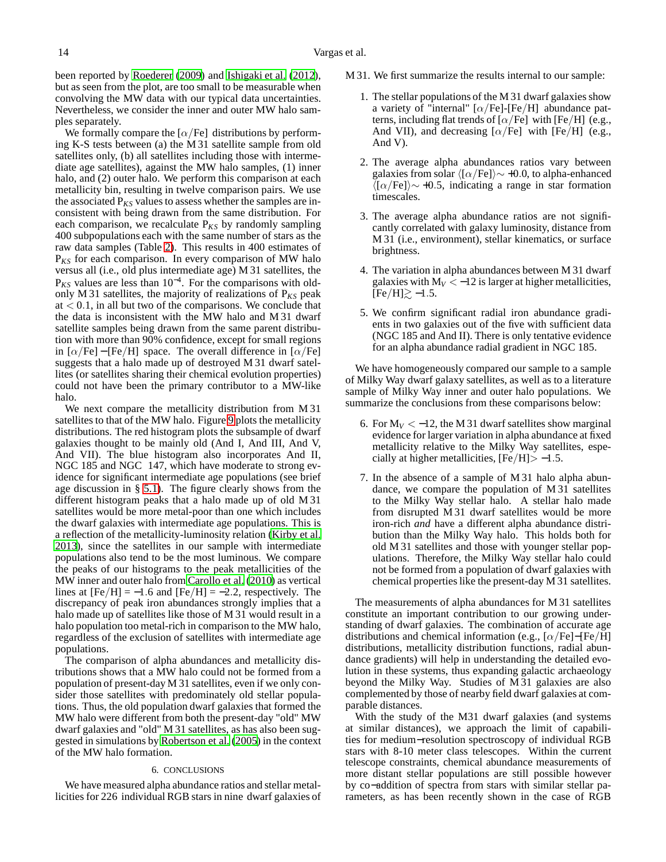been reported by [Roederer \(2009](#page-14-93)) and [Ishigaki et al. \(2012\)](#page-14-91), but as seen from the plot, are too small to be measurable when convolving the MW data with our typical data uncertainties. Nevertheless, we consider the inner and outer MW halo samples separately.

We formally compare the  $\lbrack \alpha/\text{Fe} \rbrack$  distributions by performing K-S tests between (a) the M 31 satellite sample from old satellites only, (b) all satellites including those with intermediate age satellites), against the MW halo samples, (1) inner halo, and (2) outer halo. We perform this comparison at each metallicity bin, resulting in twelve comparison pairs. We use the associated  $P_{KS}$  values to assess whether the samples are inconsistent with being drawn from the same distribution. For each comparison, we recalculate  $P_{KS}$  by randomly sampling 400 subpopulations each with the same number of stars as the raw data samples (Table [2\)](#page-5-1). This results in 400 estimates of P*KS* for each comparison. In every comparison of MW halo versus all (i.e., old plus intermediate age) M 31 satellites, the P<sub>*KS*</sub> values are less than 10<sup>-4</sup>. For the comparisons with oldonly M 31 satellites, the majority of realizations of P*KS* peak  $at < 0.1$ , in all but two of the comparisons. We conclude that the data is inconsistent with the MW halo and M 31 dwarf satellite samples being drawn from the same parent distribution with more than 90% confidence, except for small regions in  $[\alpha/Fe]$  – [Fe/H] space. The overall difference in  $[\alpha/Fe]$ suggests that a halo made up of destroyed M 31 dwarf satellites (or satellites sharing their chemical evolution properties) could not have been the primary contributor to a MW-like halo.

We next compare the metallicity distribution from M 31 satellites to that of the MW halo. Figure [9](#page-12-2) plots the metallicity distributions. The red histogram plots the subsample of dwarf galaxies thought to be mainly old (And I, And III, And V, And VII). The blue histogram also incorporates And II, NGC 185 and NGC 147, which have moderate to strong evidence for significant intermediate age populations (see brief age discussion in § [5.1\)](#page-10-2). The figure clearly shows from the different histogram peaks that a halo made up of old M 31 satellites would be more metal-poor than one which includes the dwarf galaxies with intermediate age populations. This is a reflection of the metallicity-luminosity relation [\(Kirby](#page-14-11) et al. [2013\)](#page-14-11), since the satellites in our sample with intermediate populations also tend to be the most luminous. We compare the peaks of our histograms to the peak metallicities of the MW inner and outer halo from [Carollo et al. \(2010\)](#page-14-92) as vertical lines at  $[Fe/H] = -1.6$  and  $[Fe/H] = -2.2$ , respectively. The discrepancy of peak iron abundances strongly implies that a halo made up of satellites like those of M 31 would result in a halo population too metal-rich in comparison to the MW halo, regardless of the exclusion of satellites with intermediate age populations.

The comparison of alpha abundances and metallicity distributions shows that a MW halo could not be formed from a population of present-day M 31 satellites, even if we only consider those satellites with predominately old stellar populations. Thus, the old population dwarf galaxies that formed the MW halo were different from both the present-day "old" MW dwarf galaxies and "old" M 31 satellites, as has also been suggested in simulations by [Robertson et al. \(2005\)](#page-14-45) in the context of the MW halo formation.

#### 6. CONCLUSIONS

We have measured alpha abundance ratios and stellar metallicities for 226 individual RGB stars in nine dwarf galaxies of

- M 31. We first summarize the results internal to our sample:
	- 1. The stellar populations of the M 31 dwarf galaxies show a variety of "internal"  $\left[\alpha/\text{Fe}\right]$ -[Fe/H] abundance patterns, including flat trends of  $\alpha$ /Fe] with [Fe/H] (e.g., And VII), and decreasing  $\lbrack \alpha/\text{Fe} \rbrack$  with  $\lbrack \text{Fe/H} \rbrack$  (e.g., And V).
	- 2. The average alpha abundances ratios vary between galaxies from solar  $\langle [\alpha/Fe]\rangle \sim +0.0$ , to alpha-enhanced  $\langle [\alpha/Fe]\rangle \sim +0.5$ , indicating a range in star formation timescales.
	- 3. The average alpha abundance ratios are not significantly correlated with galaxy luminosity, distance from M 31 (i.e., environment), stellar kinematics, or surface brightness.
	- 4. The variation in alpha abundances between M 31 dwarf galaxies with  $M_V < -12$  is larger at higher metallicities,  $[Fe/H] \gtrsim -1.5.$
	- 5. We confirm significant radial iron abundance gradients in two galaxies out of the five with sufficient data (NGC 185 and And II). There is only tentative evidence for an alpha abundance radial gradient in NGC 185.

We have homogeneously compared our sample to a sample of Milky Way dwarf galaxy satellites, as well as to a literature sample of Milky Way inner and outer halo populations. We summarize the conclusions from these comparisons below:

- 6. For  $M_V < -12$ , the M 31 dwarf satellites show marginal evidence for larger variation in alpha abundance at fixed metallicity relative to the Milky Way satellites, especially at higher metallicities,  $[Fe/H] > -1.5$ .
- 7. In the absence of a sample of M 31 halo alpha abundance, we compare the population of M 31 satellites to the Milky Way stellar halo. A stellar halo made from disrupted M 31 dwarf satellites would be more iron-rich *and* have a different alpha abundance distribution than the Milky Way halo. This holds both for old M 31 satellites and those with younger stellar populations. Therefore, the Milky Way stellar halo could not be formed from a population of dwarf galaxies with chemical properties like the present-day M 31 satellites.

The measurements of alpha abundances for M 31 satellites constitute an important contribution to our growing understanding of dwarf galaxies. The combination of accurate age distributions and chemical information (e.g.,  $[\alpha/Fe]-[Fe/H]$ distributions, metallicity distribution functions, radial abundance gradients) will help in understanding the detailed evolution in these systems, thus expanding galactic archaeology beyond the Milky Way. Studies of M 31 galaxies are also complemented by those of nearby field dwarf galaxies at comparable distances.

With the study of the M31 dwarf galaxies (and systems at similar distances), we approach the limit of capabilities for medium−resolution spectroscopy of individual RGB stars with 8-10 meter class telescopes. Within the current telescope constraints, chemical abundance measurements of more distant stellar populations are still possible however by co−addition of spectra from stars with similar stellar parameters, as has been recently shown in the case of RGB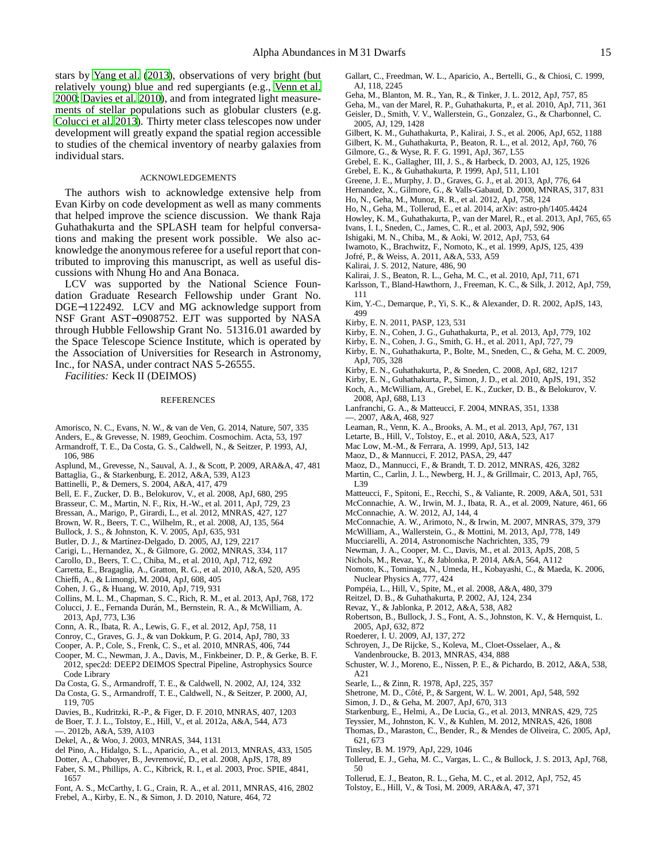stars by [Yang et al.](#page-15-7) [\(2013\)](#page-15-7), observations of very bright (but relatively young) blue and red supergiants (e.g., [Venn et al.](#page-15-8) [2000;](#page-15-8) [Davies et al. 2010\)](#page-14-94), and from integrated light measurements of stellar populations such as globular clusters (e.g. [Colucci et al. 2013\)](#page-14-95). Thirty meter class telescopes now under development will greatly expand the spatial region accessible to studies of the chemical inventory of nearby galaxies from individual stars.

## ACKNOWLEDGEMENTS

The authors wish to acknowledge extensive help from Evan Kirby on code development as well as many comments that helped improve the science discussion. We thank Raja Guhathakurta and the SPLASH team for helpful conversations and making the present work possible. We also acknowledge the anonymous referee for a useful report that contributed to improving this manuscript, as well as useful discussions with Nhung Ho and Ana Bonaca.

LCV was supported by the National Science Foundation Graduate Research Fellowship under Grant No. DGE−1122492. LCV and MG acknowledge support from NSF Grant AST−0908752. EJT was supported by NASA through Hubble Fellowship Grant No. 51316.01 awarded by the Space Telescope Science Institute, which is operated by the Association of Universities for Research in Astronomy, Inc., for NASA, under contract NAS 5-26555.

*Facilities:* Keck II (DEIMOS)

### REFERENCES

- <span id="page-14-84"></span>Amorisco, N. C., Evans, N. W., & van de Ven, G. 2014, Nature, 507, 335
- <span id="page-14-58"></span>Anders, E., & Grevesse, N. 1989, Geochim. Cosmochim. Acta, 53, 197
- <span id="page-14-75"></span>Armandroff, T. E., Da Costa, G. S., Caldwell, N., & Seitzer, P. 1993, AJ, 106, 986
- <span id="page-14-59"></span>Asplund, M., Grevesse, N., Sauval, A. J., & Scott, P. 2009, ARA&A, 47, 481
- <span id="page-14-51"></span>Battaglia, G., & Starkenburg, E. 2012, A&A, 539, A123
- <span id="page-14-83"></span>Battinelli, P., & Demers, S. 2004, A&A, 417, 479
- <span id="page-14-42"></span>Bell, E. F., Zucker, D. B., Belokurov, V., et al. 2008, ApJ, 680, 295
- <span id="page-14-28"></span>Brasseur, C. M., Martin, N. F., Rix, H.-W., et al. 2011, ApJ, 729, 23
- <span id="page-14-56"></span>Bressan, A., Marigo, P., Girardi, L., et al. 2012, MNRAS, 427, 127
- <span id="page-14-38"></span>Brown, W. R., Beers, T. C., Wilhelm, R., et al. 2008, AJ, 135, 564
- <span id="page-14-41"></span>Bullock, J. S., & Johnston, K. V. 2005, ApJ, 635, 931
- <span id="page-14-82"></span>Butler, D. J., & Martínez-Delgado, D. 2005, AJ, 129, 2217
- <span id="page-14-12"></span>Carigi, L., Hernandez, X., & Gilmore, G. 2002, MNRAS, 334, 117
- <span id="page-14-92"></span>Carollo, D., Beers, T. C., Chiba, M., et al. 2010, ApJ, 712, 692
- <span id="page-14-64"></span>Carretta, E., Bragaglia, A., Gratton, R. G., et al. 2010, A&A, 520, A95
- <span id="page-14-14"></span>Chieffi, A., & Limongi, M. 2004, ApJ, 608, 405
- <span id="page-14-4"></span>Cohen, J. G., & Huang, W. 2010, ApJ, 719, 931
- <span id="page-14-26"></span>Collins, M. L. M., Chapman, S. C., Rich, R. M., et al. 2013, ApJ, 768, 172
- <span id="page-14-95"></span>Colucci, J. E., Fernanda Durán, M., Bernstein, R. A., & McWilliam, A. 2013, ApJ, 773, L36
- Conn, A. R., Ibata, R. A., Lewis, G. F., et al. 2012, ApJ, 758, 11
- <span id="page-14-61"></span><span id="page-14-35"></span>Conroy, C., Graves, G. J., & van Dokkum, P. G. 2014, ApJ, 780, 33
- Cooper, A. P., Cole, S., Frenk, C. S., et al. 2010, MNRAS, 406, 744
- <span id="page-14-43"></span>Cooper, M. C., Newman, J. A., Davis, M., Finkbeiner, D. P., & Gerke, B. F.
- <span id="page-14-48"></span>2012, spec2d: DEEP2 DEIMOS Spectral Pipeline, Astrophysics Source Code Library
- <span id="page-14-72"></span>Da Costa, G. S., Armandroff, T. E., & Caldwell, N. 2002, AJ, 124, 332
- <span id="page-14-73"></span>Da Costa, G. S., Armandroff, T. E., Caldwell, N., & Seitzer, P. 2000, AJ, 119, 705
- <span id="page-14-94"></span>Davies, B., Kudritzki, R.-P., & Figer, D. F. 2010, MNRAS, 407, 1203
- <span id="page-14-22"></span>de Boer, T. J. L., Tolstoy, E., Hill, V., et al. 2012a, A&A, 544, A73
- <span id="page-14-77"></span>—. 2012b, A&A, 539, A103
- <span id="page-14-9"></span>Dekel, A., & Woo, J. 2003, MNRAS, 344, 1131
- <span id="page-14-23"></span>del Pino, A., Hidalgo, S. L., Aparicio, A., et al. 2013, MNRAS, 433, 1505
- <span id="page-14-55"></span>Dotter, A., Chaboyer, B., Jevremovic, D., et al. 2008, ApJS, 178, 89 ´
- <span id="page-14-46"></span>Faber, S. M., Phillips, A. C., Kibrick, R. I., et al. 2003, Proc. SPIE, 4841, 1657
- <span id="page-14-44"></span>Font, A. S., McCarthy, I. G., Crain, R. A., et al. 2011, MNRAS, 416, 2802
- <span id="page-14-16"></span>Frebel, A., Kirby, E. N., & Simon, J. D. 2010, Nature, 464, 72
- <span id="page-14-20"></span>Gallart, C., Freedman, W. L., Aparicio, A., Bertelli, G., & Chiosi, C. 1999, AJ, 118, 2245
- <span id="page-14-33"></span>Geha, M., Blanton, M. R., Yan, R., & Tinker, J. L. 2012, ApJ, 757, 85
- <span id="page-14-37"></span><span id="page-14-2"></span>Geha, M., van der Marel, R. P., Guhathakurta, P., et al. 2010, ApJ, 711, 361 Geisler, D., Smith, V. V., Wallerstein, G., Gonzalez, G., & Charbonnel, C. 2005, AJ, 129, 1428
- <span id="page-14-50"></span>Gilbert, K. M., Guhathakurta, P., Kalirai, J. S., et al. 2006, ApJ, 652, 1188
- <span id="page-14-40"></span>Gilbert, K. M., Guhathakurta, P., Beaton, R. L., et al. 2012, ApJ, 760, 76
- <span id="page-14-24"></span>Gilmore, G., & Wyse, R. F. G. 1991, ApJ, 367, L55
- <span id="page-14-10"></span>Grebel, E. K., Gallagher, III, J. S., & Harbeck, D. 2003, AJ, 125, 1926
- <span id="page-14-71"></span>Grebel, E. K., & Guhathakurta, P. 1999, ApJ, 511, L101
- <span id="page-14-62"></span>Greene, J. E., Murphy, J. D., Graves, G. J., et al. 2013, ApJ, 776, 64
- <span id="page-14-21"></span>Hernandez, X., Gilmore, G., & Valls-Gabaud, D. 2000, MNRAS, 317, 831
- <span id="page-14-32"></span>Ho, N., Geha, M., Munoz, R. R., et al. 2012, ApJ, 758, 124
- <span id="page-14-27"></span>Ho, N., Geha, M., Tollerud, E., et al. 2014, arXiv: astro-ph/1405.4424
- <span id="page-14-34"></span>Howley, K. M., Guhathakurta, P., van der Marel, R., et al. 2013, ApJ, 765, 65
- <span id="page-14-81"></span>Ivans, I. I., Sneden, C., James, C. R., et al. 2003, ApJ, 592, 906
- <span id="page-14-91"></span>Ishigaki, M. N., Chiba, M., & Aoki, W. 2012, ApJ, 753, 64
- <span id="page-14-19"></span>Iwamoto, K., Brachwitz, F., Nomoto, K., et al. 1999, ApJS, 125, 439
- <span id="page-14-88"></span>Jofré, P., & Weiss, A. 2011, A&A, 533, A59
- <span id="page-14-90"></span>Kalirai, J. S. 2012, Nature, 486, 90
- <span id="page-14-80"></span><span id="page-14-25"></span>Kalirai, J. S., Beaton, R. L., Geha, M. C., et al. 2010, ApJ, 711, 671 Karlsson, T., Bland-Hawthorn, J., Freeman, K. C., & Silk, J. 2012, ApJ, 759, 111
- <span id="page-14-54"></span>Kim, Y.-C., Demarque, P., Yi, S. K., & Alexander, D. R. 2002, ApJS, 143, 499
- <span id="page-14-53"></span>Kirby, E. N. 2011, PASP, 123, 531
- <span id="page-14-11"></span>Kirby, E. N., Cohen, J. G., Guhathakurta, P., et al. 2013, ApJ, 779, 102
- <span id="page-14-5"></span>Kirby, E. N., Cohen, J. G., Smith, G. H., et al. 2011, ApJ, 727, 79
- <span id="page-14-57"></span>Kirby, E. N., Guhathakurta, P., Bolte, M., Sneden, C., & Geha, M. C. 2009, ApJ, 705, 328
- <span id="page-14-52"></span>Kirby, E. N., Guhathakurta, P., & Sneden, C. 2008, ApJ, 682, 1217
- <span id="page-14-69"></span>Kirby, E. N., Guhathakurta, P., Simon, J. D., et al. 2010, ApJS, 191, 352
- <span id="page-14-87"></span>Koch, A., McWilliam, A., Grebel, E. K., Zucker, D. B., & Belokurov, V. 2008, ApJ, 688, L13
- <span id="page-14-67"></span><span id="page-14-13"></span>Lanfranchi, G. A., & Matteucci, F. 2004, MNRAS, 351, 1338 —. 2007, A&A, 468, 927
- <span id="page-14-70"></span>Leaman, R., Venn, K. A., Brooks, A. M., et al. 2013, ApJ, 767, 131
- <span id="page-14-3"></span>Letarte, B., Hill, V., Tolstoy, E., et al. 2010, A&A, 523, A17
- <span id="page-14-68"></span>Mac Low, M.-M., & Ferrara, A. 1999, ApJ, 513, 142
- <span id="page-14-78"></span>Maoz, D., & Mannucci, F. 2012, PASA, 29, 447
- <span id="page-14-17"></span>Maoz, D., Mannucci, F., & Brandt, T. D. 2012, MNRAS, 426, 3282
- <span id="page-14-36"></span>Martin, C., Carlin, J. L., Newberg, H. J., & Grillmair, C. 2013, ApJ, 765, L39
- <span id="page-14-18"></span>Matteucci, F., Spitoni, E., Recchi, S., & Valiante, R. 2009, A&A, 501, 531
- <span id="page-14-39"></span>McConnachie, A. W., Irwin, M. J., Ibata, R. A., et al. 2009, Nature, 461, 66
- <span id="page-14-30"></span>McConnachie, A. W. 2012, AJ, 144, 4
- <span id="page-14-74"></span>McConnachie, A. W., Arimoto, N., & Irwin, M. 2007, MNRAS, 379, 379
- <span id="page-14-7"></span>McWilliam, A., Wallerstein, G., & Mottini, M. 2013, ApJ, 778, 149
- <span id="page-14-65"></span>Mucciarelli, A. 2014, Astronomische Nachrichten, 335, 79
- <span id="page-14-49"></span>Newman, J. A., Cooper, M. C., Davis, M., et al. 2013, ApJS, 208, 5
- <span id="page-14-79"></span>Nichols, M., Revaz, Y., & Jablonka, P. 2014, A&A, 564, A112 Nomoto, K., Tominaga, N., Umeda, H., Kobayashi, C., & Maeda, K. 2006,
- <span id="page-14-15"></span>Nuclear Physics A, 777, 424
- <span id="page-14-6"></span>Pompéia, L., Hill, V., Spite, M., et al. 2008, A&A, 480, 379
- <span id="page-14-86"></span>Reitzel, D. B., & Guhathakurta, P. 2002, AJ, 124, 234
- <span id="page-14-63"></span>Revaz, Y., & Jablonka, P. 2012, A&A, 538, A82
- <span id="page-14-45"></span>Robertson, B., Bullock, J. S., Font, A. S., Johnston, K. V., & Hernquist, L. 2005, ApJ, 632, 872
- <span id="page-14-93"></span>Roederer, I. U. 2009, AJ, 137, 272
- <span id="page-14-66"></span>Schroyen, J., De Rijcke, S., Koleva, M., Cloet-Osselaer, A., &
- Vandenbroucke, B. 2013, MNRAS, 434, 888 Schuster, W. J., Moreno, E., Nissen, P. E., & Pichardo, B. 2012, A&A, 538,
- <span id="page-14-89"></span>A21
- <span id="page-14-85"></span>Searle, L., & Zinn, R. 1978, ApJ, 225, 357
- <span id="page-14-1"></span>Shetrone, M. D., Côté, P., & Sargent, W. L. W. 2001, ApJ, 548, 592
- <span id="page-14-47"></span>Simon, J. D., & Geha, M. 2007, ApJ, 670, 313

<span id="page-14-76"></span>Tolstoy, E., Hill, V., & Tosi, M. 2009, ARA&A, 47, 371

- <span id="page-14-8"></span>Starkenburg, E., Helmi, A., De Lucia, G., et al. 2013, MNRAS, 429, 725
- Teyssier, M., Johnston, K. V., & Kuhlen, M. 2012, MNRAS, 426, 1808
- <span id="page-14-60"></span>Thomas, D., Maraston, C., Bender, R., & Mendes de Oliveira, C. 2005, ApJ, 621, 673

<span id="page-14-31"></span>Tollerud, E. J., Geha, M. C., Vargas, L. C., & Bullock, J. S. 2013, ApJ, 768,

<span id="page-14-29"></span>Tollerud, E. J., Beaton, R. L., Geha, M. C., et al. 2012, ApJ, 752, 45

<span id="page-14-0"></span>Tinsley, B. M. 1979, ApJ, 229, 1046

50